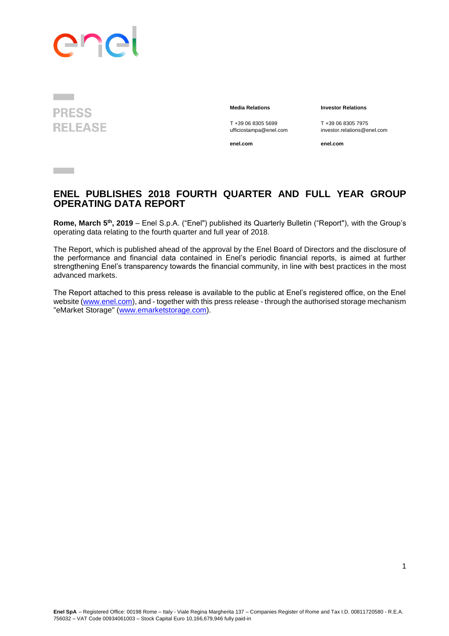# ene

**PRESS RELEASE** 

**Contract Contract** 

**Media Relations Investor Relations**

T +39 06 8305 5699 T +39 06 8305 7975<br>ufficiostampa@enel.com investor.relations@e

**enel.com enel.com**

investor.relations@enel.com

**ENEL PUBLISHES 2018 FOURTH QUARTER AND FULL YEAR GROUP OPERATING DATA REPORT**

**Rome, March 5<sup>th</sup>, 2019** – Enel S.p.A. ("Enel") published its Quarterly Bulletin ("Report"), with the Group's operating data relating to the fourth quarter and full year of 2018.

The Report, which is published ahead of the approval by the Enel Board of Directors and the disclosure of the performance and financial data contained in Enel's periodic financial reports, is aimed at further strengthening Enel's transparency towards the financial community, in line with best practices in the most advanced markets.

The Report attached to this press release is available to the public at Enel's registered office, on the Enel website [\(www.enel.com\)](http://www.enel.com/), and - together with this press release - through the authorised storage mechanism "eMarket Storage" [\(www.emarketstorage.com\)](http://www.emarketstorage.com/).

1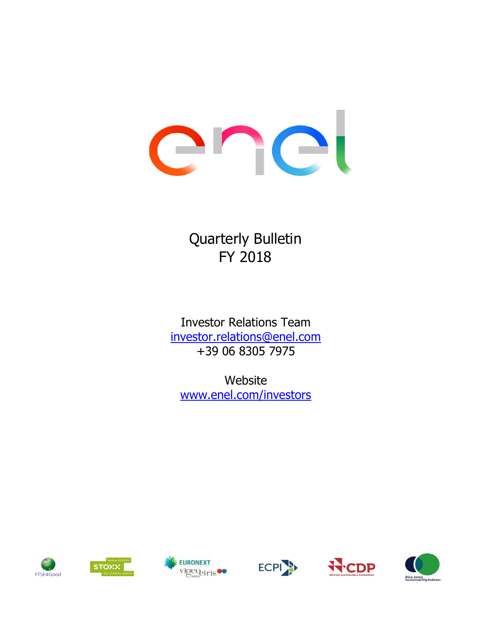# enel

Quarterly Bulletin FY 2018

Investor Relations Team investor.relations@enel.com +39 06 8305 7975

www.enel.com/investors Website











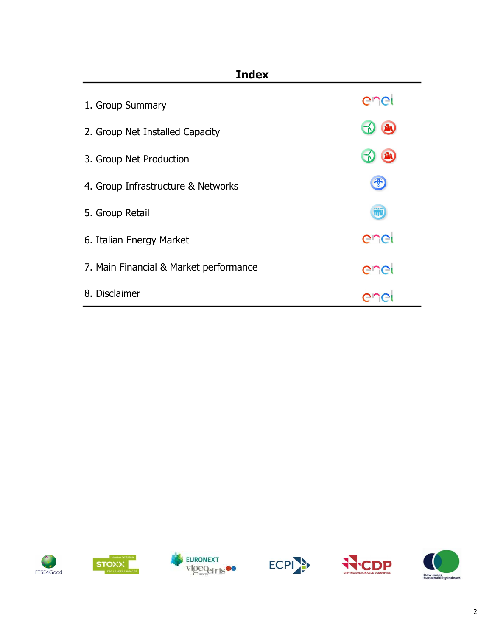| <b>Index</b>                           |      |
|----------------------------------------|------|
| 1. Group Summary                       | enei |
| 2. Group Net Installed Capacity        | f(t) |
| 3. Group Net Production                | m    |
| 4. Group Infrastructure & Networks     |      |
| 5. Group Retail                        | WÜ   |
| 6. Italian Energy Market               | enei |
| 7. Main Financial & Market performance | enel |
| 8. Disclaimer                          |      |











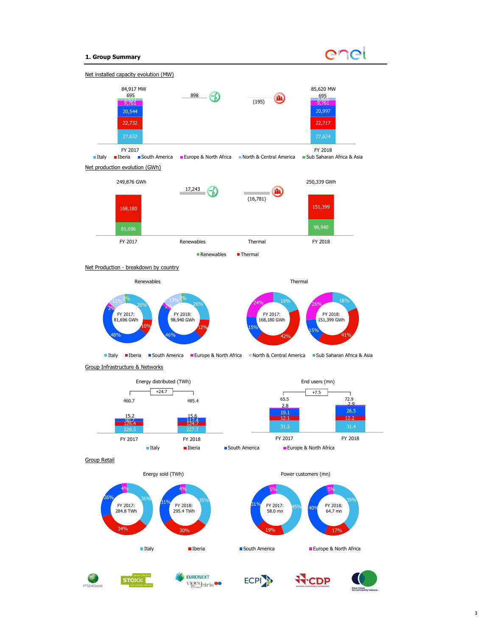### 1. Group Summary





II Italy II Deria III South America III Europe & North Africa III North & Central America III Sub Saharan Africa & Asia

Group Infrastructure & Networks



Group Retail



STOXX



FY 2018:







Power customers (mn)



58.0 mn  $\sim$  64.7 mn  $\sim$  64.7 mn

 $31\%$  FY 2017:  $45\%$  and FY 2018:

19%

<u>5% в поставки в технический принцип в технический принцип в технический принцип в технический принцип в техни<br>Поставки принцип в технический принцип в технический принцип в технический принцип в технический принцип в тех</u>

 $39\%$ 

17% and the contract of the contract of the contract of the contract of the contract of the contract of the contract of the contract of the contract of the contract of the contract of the contract of the contract of the co

 $5\%$ 

 $\frac{40\%}{64.7\,\mathrm{m}}$ 

 $45\%$   $40\%$  FY 2018: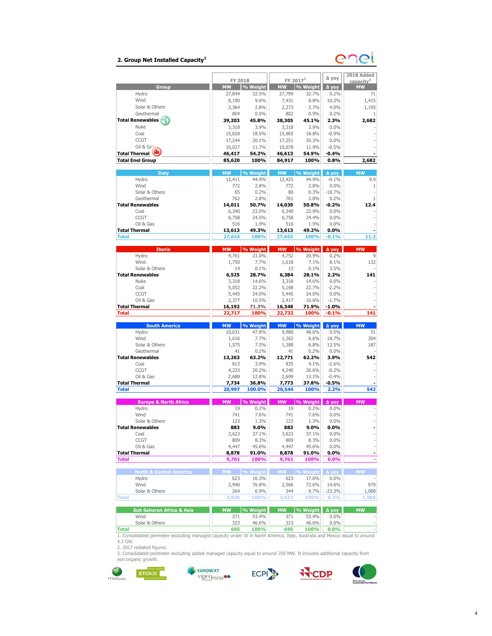### 2. Group Net Installed Capacity $^1$



| ∆ уоу<br>FY 2017 <sup>2</sup><br>FY 2018<br>capacity <sup>3</sup><br>% Weight<br>% Weight<br><b>Group</b><br><b>MW</b><br><b>MW</b><br>Д уоу<br><b>MW</b><br>Hydro<br>27,844<br>32.5%<br>27,799<br>32.7%<br>0.2%<br>71<br>Wind<br>9.6%<br>8.8%<br>10.2%<br>1,415<br>8,190<br>7,431<br>Solar & Others<br>2.8%<br>2.7%<br>4.0%<br>1,195<br>2.364<br>2.273<br>Geothermal<br>804<br>0.9%<br>802<br>0.9%<br>0.2%<br>1<br><b>Total Renewables</b><br>2.3%<br>2,682<br>39,203<br>45.8%<br>38,305<br>45.1%<br>Nuke<br>3.9%<br>3.9%<br>0.0%<br>3,318<br>3,318<br>$-0.9%$<br>Coal<br>15,828<br>18.5%<br>15,965<br>18.8%<br>CCGT<br>0.0%<br>17,244<br>20.1%<br>17,251<br>20.3%<br>Oil & Gan<br>10,078<br>$-0.5%$<br>10,027<br>11.7%<br>11.9%<br><b>Total Thermal</b><br>46,417<br>54.2%<br>46,613<br>54.9%<br>$-0.4%$<br><b>Total Enel Group</b><br>100%<br>100%<br>0.8%<br>85,620<br>84,917<br>2,682<br><b>Italy</b><br><b>MW</b><br>% Weight<br><b>MW</b><br>% Weight<br>Δ yoy<br><b>MW</b><br>Hydro<br>44.9%<br>9.9<br>12,411<br>44.9%<br>12,425<br>$-0.1%$<br>Wind<br>0.0%<br>772<br>2.8%<br>772<br>2.8%<br>1<br>Solar & Others<br>0.2%<br>80<br>0.3%<br>$-18.7%$<br>65<br>Geothermal<br>762<br>2.8%<br>761<br>2.8%<br>0.2%<br>1<br><b>Total Renewables</b><br>$-0.2%$<br>14,011<br>50.7%<br>14,039<br>50.8%<br>12.4<br>Coal<br>6,340<br>22.9%<br>0.0%<br>23.0%<br>6,340<br>CCGT<br>6,758<br>24.5%<br>6,758<br>24.4%<br>0.0%<br>Oil & Gas<br>0.0%<br>516<br>1.9%<br>516<br>1.9%<br><b>Total Thermal</b><br>$0.0\%$<br>13,613<br>49.3%<br>13,613<br>49.2%<br>100%<br>$-0.1%$<br>11.2<br><b>Total</b><br>27,624<br>100%<br>27,652<br><b>MW</b><br>% Weight<br><b>Iberia</b><br>% Weight<br><b>MW</b><br>Δ yoy<br><b>MW</b><br>4,761<br>4,752<br>20.9%<br>0.2%<br>Hydro<br>21.0%<br>9<br>Wind<br>1,750<br>7.7%<br>1,618<br>7.1%<br>8.1%<br>132<br>Solar & Others<br>0.1%<br>3.5%<br>14<br>0.1%<br>13<br><b>Total Renewables</b><br>141<br>6,525<br>28.7%<br>6,384<br>28.1%<br>2.2%<br><b>Nuke</b><br>0.0%<br>3,318<br>14.6%<br>3,318<br>14.6%<br>Coal<br>22.2%<br>22.7%<br>$-2.2%$<br>5,052<br>5,168<br>CCGT<br>0.0%<br>5,445<br>24.0%<br>5,445<br>24.0%<br>Oil & Gas<br>$-1.7%$<br>2,377<br>10.5%<br>2,417<br>10.6%<br><b>Total Thermal</b><br>$-1.0%$<br>16,192<br>71.3%<br>16,348<br>71.9%<br>100%<br>100%<br>$-0.1%$<br>141<br><b>Total</b><br>22,717<br>22,732<br><b>South America</b><br>% Weight<br><b>MW</b><br>% Weight<br><b>MW</b><br>∆ уоу<br><b>MW</b><br>Hydro<br>10,031<br>47.8%<br>9,980<br>48.6%<br>0.5%<br>51<br>Wind<br>1,616<br>7.7%<br>1,362<br>6.6%<br>18.7%<br>304<br>Solar & Others<br>1,575<br>7.5%<br>1,388<br>6.8%<br>13.5%<br>187<br>Geothermal<br>0.2%<br>0.2%<br>0.0%<br>41<br>41<br><b>Total Renewables</b><br>63.2%<br>62.2%<br>3.9%<br>542<br>13,263<br>12,771<br>Coal<br>3.9%<br>835<br>4.1%<br>$-2.6%$<br>813<br>CCGT<br>20.2%<br>20.6%<br>$-0.2%$<br>4,233<br>4,240<br>Oil & Gas<br>2,699<br>$-0.4%$<br>2,688<br>12.8%<br>13.1%<br><b>Total Thermal</b><br>$-0.5%$<br>36.8%<br>37.8%<br>7,734<br>7,773<br>542<br><b>Total</b><br>20,997<br>100.0%<br>20,544<br>100%<br>2.2%<br><b>Europe &amp; North Africa</b><br><b>MW</b><br>% Weight<br>% Weight<br><b>MW</b><br><b>MW</b><br>Δ γογ<br>Hydro<br>19<br>0.2%<br>19<br>0.2%<br>0.0%<br>Wind<br>7.6%<br>7.6%<br>0.0%<br>741<br>741<br>Solar & Others<br>1.3%<br>1.3%<br>0.0%<br>123<br>123<br>Total Renewables<br>883<br>9.0%<br>9.0%<br>883<br>0.0%<br>Coal<br>3,623<br>37.1%<br>3,623<br>37.1%<br>$0.0\%$<br>CCGT<br>809<br>809<br>8.3%<br>$0.0\%$<br>8.3%<br>i,<br>Oil & Gas<br>4,447<br>45.6%<br>0.0%<br>45.6%<br>4,447<br>L,<br><b>Total Thermal</b><br>$0.0\%$<br>8,878<br>91.0%<br>8,878<br>91.0%<br>-<br><b>Total</b><br>9,761<br>100%<br>9,761<br>100%<br>$0.0\%$<br><b>MW</b><br><b>MW</b><br>MW<br><b>North &amp; Central America</b><br>% Weight<br>% Weight<br>Δ yoy<br>Hvdro<br>623<br>16.3%<br>623<br>17.6%<br>$0.0\%$<br>Wind<br>2,940<br>14.6%<br>76.8%<br>2,566<br>72.6%<br>Solar & Others<br>6.9%<br>344<br>9.7%<br>$-23.3%$<br>264<br>8.3%<br><b>Total</b><br>3,826<br>100%<br>3,533<br>100%<br><b>Sub Saharan Africa &amp; Asia</b><br><b>MW</b><br>% Weight<br><b>MW</b><br>% Weight<br>Nov A<br><b>MW</b><br>Wind<br>371<br>53.4%<br>371<br>53.4%<br>$0.0\%$<br>Solar & Others<br>323<br>46.6%<br>$0.0\%$<br>46.6%<br>323<br>695<br>100%<br>695<br>100%<br>0.0%<br><b>Total</b><br>1. Consolidated perimeter excluding managed capacity under JV in North America, Italy, Australia and Mexico equal to around |  |  |  |              |
|-----------------------------------------------------------------------------------------------------------------------------------------------------------------------------------------------------------------------------------------------------------------------------------------------------------------------------------------------------------------------------------------------------------------------------------------------------------------------------------------------------------------------------------------------------------------------------------------------------------------------------------------------------------------------------------------------------------------------------------------------------------------------------------------------------------------------------------------------------------------------------------------------------------------------------------------------------------------------------------------------------------------------------------------------------------------------------------------------------------------------------------------------------------------------------------------------------------------------------------------------------------------------------------------------------------------------------------------------------------------------------------------------------------------------------------------------------------------------------------------------------------------------------------------------------------------------------------------------------------------------------------------------------------------------------------------------------------------------------------------------------------------------------------------------------------------------------------------------------------------------------------------------------------------------------------------------------------------------------------------------------------------------------------------------------------------------------------------------------------------------------------------------------------------------------------------------------------------------------------------------------------------------------------------------------------------------------------------------------------------------------------------------------------------------------------------------------------------------------------------------------------------------------------------------------------------------------------------------------------------------------------------------------------------------------------------------------------------------------------------------------------------------------------------------------------------------------------------------------------------------------------------------------------------------------------------------------------------------------------------------------------------------------------------------------------------------------------------------------------------------------------------------------------------------------------------------------------------------------------------------------------------------------------------------------------------------------------------------------------------------------------------------------------------------------------------------------------------------------------------------------------------------------------------------------------------------------------------------------------------------------------------------------------------------------------------------------------------------------------------------------------------------------------------------------------------------------------------------------------------------------------------------------------------------------------------------------------------------------------------------------------------------------------------------------------------------------------------------------------------------------------------------------------------------------------------------------------------------------------------------------------------------------------------------------------------------------------------------------------------------------------------------------------------------------------------------------------------------------------------------------------------|--|--|--|--------------|
|                                                                                                                                                                                                                                                                                                                                                                                                                                                                                                                                                                                                                                                                                                                                                                                                                                                                                                                                                                                                                                                                                                                                                                                                                                                                                                                                                                                                                                                                                                                                                                                                                                                                                                                                                                                                                                                                                                                                                                                                                                                                                                                                                                                                                                                                                                                                                                                                                                                                                                                                                                                                                                                                                                                                                                                                                                                                                                                                                                                                                                                                                                                                                                                                                                                                                                                                                                                                                                                                                                                                                                                                                                                                                                                                                                                                                                                                                                                                                                                                                                                                                                                                                                                                                                                                                                                                                                                                                                                                                                                 |  |  |  | 2018 Added   |
|                                                                                                                                                                                                                                                                                                                                                                                                                                                                                                                                                                                                                                                                                                                                                                                                                                                                                                                                                                                                                                                                                                                                                                                                                                                                                                                                                                                                                                                                                                                                                                                                                                                                                                                                                                                                                                                                                                                                                                                                                                                                                                                                                                                                                                                                                                                                                                                                                                                                                                                                                                                                                                                                                                                                                                                                                                                                                                                                                                                                                                                                                                                                                                                                                                                                                                                                                                                                                                                                                                                                                                                                                                                                                                                                                                                                                                                                                                                                                                                                                                                                                                                                                                                                                                                                                                                                                                                                                                                                                                                 |  |  |  |              |
|                                                                                                                                                                                                                                                                                                                                                                                                                                                                                                                                                                                                                                                                                                                                                                                                                                                                                                                                                                                                                                                                                                                                                                                                                                                                                                                                                                                                                                                                                                                                                                                                                                                                                                                                                                                                                                                                                                                                                                                                                                                                                                                                                                                                                                                                                                                                                                                                                                                                                                                                                                                                                                                                                                                                                                                                                                                                                                                                                                                                                                                                                                                                                                                                                                                                                                                                                                                                                                                                                                                                                                                                                                                                                                                                                                                                                                                                                                                                                                                                                                                                                                                                                                                                                                                                                                                                                                                                                                                                                                                 |  |  |  |              |
|                                                                                                                                                                                                                                                                                                                                                                                                                                                                                                                                                                                                                                                                                                                                                                                                                                                                                                                                                                                                                                                                                                                                                                                                                                                                                                                                                                                                                                                                                                                                                                                                                                                                                                                                                                                                                                                                                                                                                                                                                                                                                                                                                                                                                                                                                                                                                                                                                                                                                                                                                                                                                                                                                                                                                                                                                                                                                                                                                                                                                                                                                                                                                                                                                                                                                                                                                                                                                                                                                                                                                                                                                                                                                                                                                                                                                                                                                                                                                                                                                                                                                                                                                                                                                                                                                                                                                                                                                                                                                                                 |  |  |  |              |
|                                                                                                                                                                                                                                                                                                                                                                                                                                                                                                                                                                                                                                                                                                                                                                                                                                                                                                                                                                                                                                                                                                                                                                                                                                                                                                                                                                                                                                                                                                                                                                                                                                                                                                                                                                                                                                                                                                                                                                                                                                                                                                                                                                                                                                                                                                                                                                                                                                                                                                                                                                                                                                                                                                                                                                                                                                                                                                                                                                                                                                                                                                                                                                                                                                                                                                                                                                                                                                                                                                                                                                                                                                                                                                                                                                                                                                                                                                                                                                                                                                                                                                                                                                                                                                                                                                                                                                                                                                                                                                                 |  |  |  |              |
|                                                                                                                                                                                                                                                                                                                                                                                                                                                                                                                                                                                                                                                                                                                                                                                                                                                                                                                                                                                                                                                                                                                                                                                                                                                                                                                                                                                                                                                                                                                                                                                                                                                                                                                                                                                                                                                                                                                                                                                                                                                                                                                                                                                                                                                                                                                                                                                                                                                                                                                                                                                                                                                                                                                                                                                                                                                                                                                                                                                                                                                                                                                                                                                                                                                                                                                                                                                                                                                                                                                                                                                                                                                                                                                                                                                                                                                                                                                                                                                                                                                                                                                                                                                                                                                                                                                                                                                                                                                                                                                 |  |  |  |              |
|                                                                                                                                                                                                                                                                                                                                                                                                                                                                                                                                                                                                                                                                                                                                                                                                                                                                                                                                                                                                                                                                                                                                                                                                                                                                                                                                                                                                                                                                                                                                                                                                                                                                                                                                                                                                                                                                                                                                                                                                                                                                                                                                                                                                                                                                                                                                                                                                                                                                                                                                                                                                                                                                                                                                                                                                                                                                                                                                                                                                                                                                                                                                                                                                                                                                                                                                                                                                                                                                                                                                                                                                                                                                                                                                                                                                                                                                                                                                                                                                                                                                                                                                                                                                                                                                                                                                                                                                                                                                                                                 |  |  |  |              |
|                                                                                                                                                                                                                                                                                                                                                                                                                                                                                                                                                                                                                                                                                                                                                                                                                                                                                                                                                                                                                                                                                                                                                                                                                                                                                                                                                                                                                                                                                                                                                                                                                                                                                                                                                                                                                                                                                                                                                                                                                                                                                                                                                                                                                                                                                                                                                                                                                                                                                                                                                                                                                                                                                                                                                                                                                                                                                                                                                                                                                                                                                                                                                                                                                                                                                                                                                                                                                                                                                                                                                                                                                                                                                                                                                                                                                                                                                                                                                                                                                                                                                                                                                                                                                                                                                                                                                                                                                                                                                                                 |  |  |  |              |
|                                                                                                                                                                                                                                                                                                                                                                                                                                                                                                                                                                                                                                                                                                                                                                                                                                                                                                                                                                                                                                                                                                                                                                                                                                                                                                                                                                                                                                                                                                                                                                                                                                                                                                                                                                                                                                                                                                                                                                                                                                                                                                                                                                                                                                                                                                                                                                                                                                                                                                                                                                                                                                                                                                                                                                                                                                                                                                                                                                                                                                                                                                                                                                                                                                                                                                                                                                                                                                                                                                                                                                                                                                                                                                                                                                                                                                                                                                                                                                                                                                                                                                                                                                                                                                                                                                                                                                                                                                                                                                                 |  |  |  |              |
|                                                                                                                                                                                                                                                                                                                                                                                                                                                                                                                                                                                                                                                                                                                                                                                                                                                                                                                                                                                                                                                                                                                                                                                                                                                                                                                                                                                                                                                                                                                                                                                                                                                                                                                                                                                                                                                                                                                                                                                                                                                                                                                                                                                                                                                                                                                                                                                                                                                                                                                                                                                                                                                                                                                                                                                                                                                                                                                                                                                                                                                                                                                                                                                                                                                                                                                                                                                                                                                                                                                                                                                                                                                                                                                                                                                                                                                                                                                                                                                                                                                                                                                                                                                                                                                                                                                                                                                                                                                                                                                 |  |  |  |              |
|                                                                                                                                                                                                                                                                                                                                                                                                                                                                                                                                                                                                                                                                                                                                                                                                                                                                                                                                                                                                                                                                                                                                                                                                                                                                                                                                                                                                                                                                                                                                                                                                                                                                                                                                                                                                                                                                                                                                                                                                                                                                                                                                                                                                                                                                                                                                                                                                                                                                                                                                                                                                                                                                                                                                                                                                                                                                                                                                                                                                                                                                                                                                                                                                                                                                                                                                                                                                                                                                                                                                                                                                                                                                                                                                                                                                                                                                                                                                                                                                                                                                                                                                                                                                                                                                                                                                                                                                                                                                                                                 |  |  |  |              |
|                                                                                                                                                                                                                                                                                                                                                                                                                                                                                                                                                                                                                                                                                                                                                                                                                                                                                                                                                                                                                                                                                                                                                                                                                                                                                                                                                                                                                                                                                                                                                                                                                                                                                                                                                                                                                                                                                                                                                                                                                                                                                                                                                                                                                                                                                                                                                                                                                                                                                                                                                                                                                                                                                                                                                                                                                                                                                                                                                                                                                                                                                                                                                                                                                                                                                                                                                                                                                                                                                                                                                                                                                                                                                                                                                                                                                                                                                                                                                                                                                                                                                                                                                                                                                                                                                                                                                                                                                                                                                                                 |  |  |  |              |
|                                                                                                                                                                                                                                                                                                                                                                                                                                                                                                                                                                                                                                                                                                                                                                                                                                                                                                                                                                                                                                                                                                                                                                                                                                                                                                                                                                                                                                                                                                                                                                                                                                                                                                                                                                                                                                                                                                                                                                                                                                                                                                                                                                                                                                                                                                                                                                                                                                                                                                                                                                                                                                                                                                                                                                                                                                                                                                                                                                                                                                                                                                                                                                                                                                                                                                                                                                                                                                                                                                                                                                                                                                                                                                                                                                                                                                                                                                                                                                                                                                                                                                                                                                                                                                                                                                                                                                                                                                                                                                                 |  |  |  |              |
|                                                                                                                                                                                                                                                                                                                                                                                                                                                                                                                                                                                                                                                                                                                                                                                                                                                                                                                                                                                                                                                                                                                                                                                                                                                                                                                                                                                                                                                                                                                                                                                                                                                                                                                                                                                                                                                                                                                                                                                                                                                                                                                                                                                                                                                                                                                                                                                                                                                                                                                                                                                                                                                                                                                                                                                                                                                                                                                                                                                                                                                                                                                                                                                                                                                                                                                                                                                                                                                                                                                                                                                                                                                                                                                                                                                                                                                                                                                                                                                                                                                                                                                                                                                                                                                                                                                                                                                                                                                                                                                 |  |  |  |              |
|                                                                                                                                                                                                                                                                                                                                                                                                                                                                                                                                                                                                                                                                                                                                                                                                                                                                                                                                                                                                                                                                                                                                                                                                                                                                                                                                                                                                                                                                                                                                                                                                                                                                                                                                                                                                                                                                                                                                                                                                                                                                                                                                                                                                                                                                                                                                                                                                                                                                                                                                                                                                                                                                                                                                                                                                                                                                                                                                                                                                                                                                                                                                                                                                                                                                                                                                                                                                                                                                                                                                                                                                                                                                                                                                                                                                                                                                                                                                                                                                                                                                                                                                                                                                                                                                                                                                                                                                                                                                                                                 |  |  |  |              |
|                                                                                                                                                                                                                                                                                                                                                                                                                                                                                                                                                                                                                                                                                                                                                                                                                                                                                                                                                                                                                                                                                                                                                                                                                                                                                                                                                                                                                                                                                                                                                                                                                                                                                                                                                                                                                                                                                                                                                                                                                                                                                                                                                                                                                                                                                                                                                                                                                                                                                                                                                                                                                                                                                                                                                                                                                                                                                                                                                                                                                                                                                                                                                                                                                                                                                                                                                                                                                                                                                                                                                                                                                                                                                                                                                                                                                                                                                                                                                                                                                                                                                                                                                                                                                                                                                                                                                                                                                                                                                                                 |  |  |  |              |
|                                                                                                                                                                                                                                                                                                                                                                                                                                                                                                                                                                                                                                                                                                                                                                                                                                                                                                                                                                                                                                                                                                                                                                                                                                                                                                                                                                                                                                                                                                                                                                                                                                                                                                                                                                                                                                                                                                                                                                                                                                                                                                                                                                                                                                                                                                                                                                                                                                                                                                                                                                                                                                                                                                                                                                                                                                                                                                                                                                                                                                                                                                                                                                                                                                                                                                                                                                                                                                                                                                                                                                                                                                                                                                                                                                                                                                                                                                                                                                                                                                                                                                                                                                                                                                                                                                                                                                                                                                                                                                                 |  |  |  |              |
|                                                                                                                                                                                                                                                                                                                                                                                                                                                                                                                                                                                                                                                                                                                                                                                                                                                                                                                                                                                                                                                                                                                                                                                                                                                                                                                                                                                                                                                                                                                                                                                                                                                                                                                                                                                                                                                                                                                                                                                                                                                                                                                                                                                                                                                                                                                                                                                                                                                                                                                                                                                                                                                                                                                                                                                                                                                                                                                                                                                                                                                                                                                                                                                                                                                                                                                                                                                                                                                                                                                                                                                                                                                                                                                                                                                                                                                                                                                                                                                                                                                                                                                                                                                                                                                                                                                                                                                                                                                                                                                 |  |  |  |              |
|                                                                                                                                                                                                                                                                                                                                                                                                                                                                                                                                                                                                                                                                                                                                                                                                                                                                                                                                                                                                                                                                                                                                                                                                                                                                                                                                                                                                                                                                                                                                                                                                                                                                                                                                                                                                                                                                                                                                                                                                                                                                                                                                                                                                                                                                                                                                                                                                                                                                                                                                                                                                                                                                                                                                                                                                                                                                                                                                                                                                                                                                                                                                                                                                                                                                                                                                                                                                                                                                                                                                                                                                                                                                                                                                                                                                                                                                                                                                                                                                                                                                                                                                                                                                                                                                                                                                                                                                                                                                                                                 |  |  |  |              |
|                                                                                                                                                                                                                                                                                                                                                                                                                                                                                                                                                                                                                                                                                                                                                                                                                                                                                                                                                                                                                                                                                                                                                                                                                                                                                                                                                                                                                                                                                                                                                                                                                                                                                                                                                                                                                                                                                                                                                                                                                                                                                                                                                                                                                                                                                                                                                                                                                                                                                                                                                                                                                                                                                                                                                                                                                                                                                                                                                                                                                                                                                                                                                                                                                                                                                                                                                                                                                                                                                                                                                                                                                                                                                                                                                                                                                                                                                                                                                                                                                                                                                                                                                                                                                                                                                                                                                                                                                                                                                                                 |  |  |  |              |
|                                                                                                                                                                                                                                                                                                                                                                                                                                                                                                                                                                                                                                                                                                                                                                                                                                                                                                                                                                                                                                                                                                                                                                                                                                                                                                                                                                                                                                                                                                                                                                                                                                                                                                                                                                                                                                                                                                                                                                                                                                                                                                                                                                                                                                                                                                                                                                                                                                                                                                                                                                                                                                                                                                                                                                                                                                                                                                                                                                                                                                                                                                                                                                                                                                                                                                                                                                                                                                                                                                                                                                                                                                                                                                                                                                                                                                                                                                                                                                                                                                                                                                                                                                                                                                                                                                                                                                                                                                                                                                                 |  |  |  |              |
|                                                                                                                                                                                                                                                                                                                                                                                                                                                                                                                                                                                                                                                                                                                                                                                                                                                                                                                                                                                                                                                                                                                                                                                                                                                                                                                                                                                                                                                                                                                                                                                                                                                                                                                                                                                                                                                                                                                                                                                                                                                                                                                                                                                                                                                                                                                                                                                                                                                                                                                                                                                                                                                                                                                                                                                                                                                                                                                                                                                                                                                                                                                                                                                                                                                                                                                                                                                                                                                                                                                                                                                                                                                                                                                                                                                                                                                                                                                                                                                                                                                                                                                                                                                                                                                                                                                                                                                                                                                                                                                 |  |  |  |              |
|                                                                                                                                                                                                                                                                                                                                                                                                                                                                                                                                                                                                                                                                                                                                                                                                                                                                                                                                                                                                                                                                                                                                                                                                                                                                                                                                                                                                                                                                                                                                                                                                                                                                                                                                                                                                                                                                                                                                                                                                                                                                                                                                                                                                                                                                                                                                                                                                                                                                                                                                                                                                                                                                                                                                                                                                                                                                                                                                                                                                                                                                                                                                                                                                                                                                                                                                                                                                                                                                                                                                                                                                                                                                                                                                                                                                                                                                                                                                                                                                                                                                                                                                                                                                                                                                                                                                                                                                                                                                                                                 |  |  |  |              |
|                                                                                                                                                                                                                                                                                                                                                                                                                                                                                                                                                                                                                                                                                                                                                                                                                                                                                                                                                                                                                                                                                                                                                                                                                                                                                                                                                                                                                                                                                                                                                                                                                                                                                                                                                                                                                                                                                                                                                                                                                                                                                                                                                                                                                                                                                                                                                                                                                                                                                                                                                                                                                                                                                                                                                                                                                                                                                                                                                                                                                                                                                                                                                                                                                                                                                                                                                                                                                                                                                                                                                                                                                                                                                                                                                                                                                                                                                                                                                                                                                                                                                                                                                                                                                                                                                                                                                                                                                                                                                                                 |  |  |  |              |
|                                                                                                                                                                                                                                                                                                                                                                                                                                                                                                                                                                                                                                                                                                                                                                                                                                                                                                                                                                                                                                                                                                                                                                                                                                                                                                                                                                                                                                                                                                                                                                                                                                                                                                                                                                                                                                                                                                                                                                                                                                                                                                                                                                                                                                                                                                                                                                                                                                                                                                                                                                                                                                                                                                                                                                                                                                                                                                                                                                                                                                                                                                                                                                                                                                                                                                                                                                                                                                                                                                                                                                                                                                                                                                                                                                                                                                                                                                                                                                                                                                                                                                                                                                                                                                                                                                                                                                                                                                                                                                                 |  |  |  |              |
|                                                                                                                                                                                                                                                                                                                                                                                                                                                                                                                                                                                                                                                                                                                                                                                                                                                                                                                                                                                                                                                                                                                                                                                                                                                                                                                                                                                                                                                                                                                                                                                                                                                                                                                                                                                                                                                                                                                                                                                                                                                                                                                                                                                                                                                                                                                                                                                                                                                                                                                                                                                                                                                                                                                                                                                                                                                                                                                                                                                                                                                                                                                                                                                                                                                                                                                                                                                                                                                                                                                                                                                                                                                                                                                                                                                                                                                                                                                                                                                                                                                                                                                                                                                                                                                                                                                                                                                                                                                                                                                 |  |  |  |              |
|                                                                                                                                                                                                                                                                                                                                                                                                                                                                                                                                                                                                                                                                                                                                                                                                                                                                                                                                                                                                                                                                                                                                                                                                                                                                                                                                                                                                                                                                                                                                                                                                                                                                                                                                                                                                                                                                                                                                                                                                                                                                                                                                                                                                                                                                                                                                                                                                                                                                                                                                                                                                                                                                                                                                                                                                                                                                                                                                                                                                                                                                                                                                                                                                                                                                                                                                                                                                                                                                                                                                                                                                                                                                                                                                                                                                                                                                                                                                                                                                                                                                                                                                                                                                                                                                                                                                                                                                                                                                                                                 |  |  |  |              |
|                                                                                                                                                                                                                                                                                                                                                                                                                                                                                                                                                                                                                                                                                                                                                                                                                                                                                                                                                                                                                                                                                                                                                                                                                                                                                                                                                                                                                                                                                                                                                                                                                                                                                                                                                                                                                                                                                                                                                                                                                                                                                                                                                                                                                                                                                                                                                                                                                                                                                                                                                                                                                                                                                                                                                                                                                                                                                                                                                                                                                                                                                                                                                                                                                                                                                                                                                                                                                                                                                                                                                                                                                                                                                                                                                                                                                                                                                                                                                                                                                                                                                                                                                                                                                                                                                                                                                                                                                                                                                                                 |  |  |  |              |
|                                                                                                                                                                                                                                                                                                                                                                                                                                                                                                                                                                                                                                                                                                                                                                                                                                                                                                                                                                                                                                                                                                                                                                                                                                                                                                                                                                                                                                                                                                                                                                                                                                                                                                                                                                                                                                                                                                                                                                                                                                                                                                                                                                                                                                                                                                                                                                                                                                                                                                                                                                                                                                                                                                                                                                                                                                                                                                                                                                                                                                                                                                                                                                                                                                                                                                                                                                                                                                                                                                                                                                                                                                                                                                                                                                                                                                                                                                                                                                                                                                                                                                                                                                                                                                                                                                                                                                                                                                                                                                                 |  |  |  |              |
|                                                                                                                                                                                                                                                                                                                                                                                                                                                                                                                                                                                                                                                                                                                                                                                                                                                                                                                                                                                                                                                                                                                                                                                                                                                                                                                                                                                                                                                                                                                                                                                                                                                                                                                                                                                                                                                                                                                                                                                                                                                                                                                                                                                                                                                                                                                                                                                                                                                                                                                                                                                                                                                                                                                                                                                                                                                                                                                                                                                                                                                                                                                                                                                                                                                                                                                                                                                                                                                                                                                                                                                                                                                                                                                                                                                                                                                                                                                                                                                                                                                                                                                                                                                                                                                                                                                                                                                                                                                                                                                 |  |  |  |              |
|                                                                                                                                                                                                                                                                                                                                                                                                                                                                                                                                                                                                                                                                                                                                                                                                                                                                                                                                                                                                                                                                                                                                                                                                                                                                                                                                                                                                                                                                                                                                                                                                                                                                                                                                                                                                                                                                                                                                                                                                                                                                                                                                                                                                                                                                                                                                                                                                                                                                                                                                                                                                                                                                                                                                                                                                                                                                                                                                                                                                                                                                                                                                                                                                                                                                                                                                                                                                                                                                                                                                                                                                                                                                                                                                                                                                                                                                                                                                                                                                                                                                                                                                                                                                                                                                                                                                                                                                                                                                                                                 |  |  |  |              |
|                                                                                                                                                                                                                                                                                                                                                                                                                                                                                                                                                                                                                                                                                                                                                                                                                                                                                                                                                                                                                                                                                                                                                                                                                                                                                                                                                                                                                                                                                                                                                                                                                                                                                                                                                                                                                                                                                                                                                                                                                                                                                                                                                                                                                                                                                                                                                                                                                                                                                                                                                                                                                                                                                                                                                                                                                                                                                                                                                                                                                                                                                                                                                                                                                                                                                                                                                                                                                                                                                                                                                                                                                                                                                                                                                                                                                                                                                                                                                                                                                                                                                                                                                                                                                                                                                                                                                                                                                                                                                                                 |  |  |  |              |
|                                                                                                                                                                                                                                                                                                                                                                                                                                                                                                                                                                                                                                                                                                                                                                                                                                                                                                                                                                                                                                                                                                                                                                                                                                                                                                                                                                                                                                                                                                                                                                                                                                                                                                                                                                                                                                                                                                                                                                                                                                                                                                                                                                                                                                                                                                                                                                                                                                                                                                                                                                                                                                                                                                                                                                                                                                                                                                                                                                                                                                                                                                                                                                                                                                                                                                                                                                                                                                                                                                                                                                                                                                                                                                                                                                                                                                                                                                                                                                                                                                                                                                                                                                                                                                                                                                                                                                                                                                                                                                                 |  |  |  |              |
|                                                                                                                                                                                                                                                                                                                                                                                                                                                                                                                                                                                                                                                                                                                                                                                                                                                                                                                                                                                                                                                                                                                                                                                                                                                                                                                                                                                                                                                                                                                                                                                                                                                                                                                                                                                                                                                                                                                                                                                                                                                                                                                                                                                                                                                                                                                                                                                                                                                                                                                                                                                                                                                                                                                                                                                                                                                                                                                                                                                                                                                                                                                                                                                                                                                                                                                                                                                                                                                                                                                                                                                                                                                                                                                                                                                                                                                                                                                                                                                                                                                                                                                                                                                                                                                                                                                                                                                                                                                                                                                 |  |  |  |              |
|                                                                                                                                                                                                                                                                                                                                                                                                                                                                                                                                                                                                                                                                                                                                                                                                                                                                                                                                                                                                                                                                                                                                                                                                                                                                                                                                                                                                                                                                                                                                                                                                                                                                                                                                                                                                                                                                                                                                                                                                                                                                                                                                                                                                                                                                                                                                                                                                                                                                                                                                                                                                                                                                                                                                                                                                                                                                                                                                                                                                                                                                                                                                                                                                                                                                                                                                                                                                                                                                                                                                                                                                                                                                                                                                                                                                                                                                                                                                                                                                                                                                                                                                                                                                                                                                                                                                                                                                                                                                                                                 |  |  |  |              |
|                                                                                                                                                                                                                                                                                                                                                                                                                                                                                                                                                                                                                                                                                                                                                                                                                                                                                                                                                                                                                                                                                                                                                                                                                                                                                                                                                                                                                                                                                                                                                                                                                                                                                                                                                                                                                                                                                                                                                                                                                                                                                                                                                                                                                                                                                                                                                                                                                                                                                                                                                                                                                                                                                                                                                                                                                                                                                                                                                                                                                                                                                                                                                                                                                                                                                                                                                                                                                                                                                                                                                                                                                                                                                                                                                                                                                                                                                                                                                                                                                                                                                                                                                                                                                                                                                                                                                                                                                                                                                                                 |  |  |  |              |
|                                                                                                                                                                                                                                                                                                                                                                                                                                                                                                                                                                                                                                                                                                                                                                                                                                                                                                                                                                                                                                                                                                                                                                                                                                                                                                                                                                                                                                                                                                                                                                                                                                                                                                                                                                                                                                                                                                                                                                                                                                                                                                                                                                                                                                                                                                                                                                                                                                                                                                                                                                                                                                                                                                                                                                                                                                                                                                                                                                                                                                                                                                                                                                                                                                                                                                                                                                                                                                                                                                                                                                                                                                                                                                                                                                                                                                                                                                                                                                                                                                                                                                                                                                                                                                                                                                                                                                                                                                                                                                                 |  |  |  |              |
|                                                                                                                                                                                                                                                                                                                                                                                                                                                                                                                                                                                                                                                                                                                                                                                                                                                                                                                                                                                                                                                                                                                                                                                                                                                                                                                                                                                                                                                                                                                                                                                                                                                                                                                                                                                                                                                                                                                                                                                                                                                                                                                                                                                                                                                                                                                                                                                                                                                                                                                                                                                                                                                                                                                                                                                                                                                                                                                                                                                                                                                                                                                                                                                                                                                                                                                                                                                                                                                                                                                                                                                                                                                                                                                                                                                                                                                                                                                                                                                                                                                                                                                                                                                                                                                                                                                                                                                                                                                                                                                 |  |  |  |              |
|                                                                                                                                                                                                                                                                                                                                                                                                                                                                                                                                                                                                                                                                                                                                                                                                                                                                                                                                                                                                                                                                                                                                                                                                                                                                                                                                                                                                                                                                                                                                                                                                                                                                                                                                                                                                                                                                                                                                                                                                                                                                                                                                                                                                                                                                                                                                                                                                                                                                                                                                                                                                                                                                                                                                                                                                                                                                                                                                                                                                                                                                                                                                                                                                                                                                                                                                                                                                                                                                                                                                                                                                                                                                                                                                                                                                                                                                                                                                                                                                                                                                                                                                                                                                                                                                                                                                                                                                                                                                                                                 |  |  |  |              |
|                                                                                                                                                                                                                                                                                                                                                                                                                                                                                                                                                                                                                                                                                                                                                                                                                                                                                                                                                                                                                                                                                                                                                                                                                                                                                                                                                                                                                                                                                                                                                                                                                                                                                                                                                                                                                                                                                                                                                                                                                                                                                                                                                                                                                                                                                                                                                                                                                                                                                                                                                                                                                                                                                                                                                                                                                                                                                                                                                                                                                                                                                                                                                                                                                                                                                                                                                                                                                                                                                                                                                                                                                                                                                                                                                                                                                                                                                                                                                                                                                                                                                                                                                                                                                                                                                                                                                                                                                                                                                                                 |  |  |  |              |
|                                                                                                                                                                                                                                                                                                                                                                                                                                                                                                                                                                                                                                                                                                                                                                                                                                                                                                                                                                                                                                                                                                                                                                                                                                                                                                                                                                                                                                                                                                                                                                                                                                                                                                                                                                                                                                                                                                                                                                                                                                                                                                                                                                                                                                                                                                                                                                                                                                                                                                                                                                                                                                                                                                                                                                                                                                                                                                                                                                                                                                                                                                                                                                                                                                                                                                                                                                                                                                                                                                                                                                                                                                                                                                                                                                                                                                                                                                                                                                                                                                                                                                                                                                                                                                                                                                                                                                                                                                                                                                                 |  |  |  |              |
|                                                                                                                                                                                                                                                                                                                                                                                                                                                                                                                                                                                                                                                                                                                                                                                                                                                                                                                                                                                                                                                                                                                                                                                                                                                                                                                                                                                                                                                                                                                                                                                                                                                                                                                                                                                                                                                                                                                                                                                                                                                                                                                                                                                                                                                                                                                                                                                                                                                                                                                                                                                                                                                                                                                                                                                                                                                                                                                                                                                                                                                                                                                                                                                                                                                                                                                                                                                                                                                                                                                                                                                                                                                                                                                                                                                                                                                                                                                                                                                                                                                                                                                                                                                                                                                                                                                                                                                                                                                                                                                 |  |  |  |              |
|                                                                                                                                                                                                                                                                                                                                                                                                                                                                                                                                                                                                                                                                                                                                                                                                                                                                                                                                                                                                                                                                                                                                                                                                                                                                                                                                                                                                                                                                                                                                                                                                                                                                                                                                                                                                                                                                                                                                                                                                                                                                                                                                                                                                                                                                                                                                                                                                                                                                                                                                                                                                                                                                                                                                                                                                                                                                                                                                                                                                                                                                                                                                                                                                                                                                                                                                                                                                                                                                                                                                                                                                                                                                                                                                                                                                                                                                                                                                                                                                                                                                                                                                                                                                                                                                                                                                                                                                                                                                                                                 |  |  |  |              |
|                                                                                                                                                                                                                                                                                                                                                                                                                                                                                                                                                                                                                                                                                                                                                                                                                                                                                                                                                                                                                                                                                                                                                                                                                                                                                                                                                                                                                                                                                                                                                                                                                                                                                                                                                                                                                                                                                                                                                                                                                                                                                                                                                                                                                                                                                                                                                                                                                                                                                                                                                                                                                                                                                                                                                                                                                                                                                                                                                                                                                                                                                                                                                                                                                                                                                                                                                                                                                                                                                                                                                                                                                                                                                                                                                                                                                                                                                                                                                                                                                                                                                                                                                                                                                                                                                                                                                                                                                                                                                                                 |  |  |  |              |
|                                                                                                                                                                                                                                                                                                                                                                                                                                                                                                                                                                                                                                                                                                                                                                                                                                                                                                                                                                                                                                                                                                                                                                                                                                                                                                                                                                                                                                                                                                                                                                                                                                                                                                                                                                                                                                                                                                                                                                                                                                                                                                                                                                                                                                                                                                                                                                                                                                                                                                                                                                                                                                                                                                                                                                                                                                                                                                                                                                                                                                                                                                                                                                                                                                                                                                                                                                                                                                                                                                                                                                                                                                                                                                                                                                                                                                                                                                                                                                                                                                                                                                                                                                                                                                                                                                                                                                                                                                                                                                                 |  |  |  |              |
|                                                                                                                                                                                                                                                                                                                                                                                                                                                                                                                                                                                                                                                                                                                                                                                                                                                                                                                                                                                                                                                                                                                                                                                                                                                                                                                                                                                                                                                                                                                                                                                                                                                                                                                                                                                                                                                                                                                                                                                                                                                                                                                                                                                                                                                                                                                                                                                                                                                                                                                                                                                                                                                                                                                                                                                                                                                                                                                                                                                                                                                                                                                                                                                                                                                                                                                                                                                                                                                                                                                                                                                                                                                                                                                                                                                                                                                                                                                                                                                                                                                                                                                                                                                                                                                                                                                                                                                                                                                                                                                 |  |  |  |              |
|                                                                                                                                                                                                                                                                                                                                                                                                                                                                                                                                                                                                                                                                                                                                                                                                                                                                                                                                                                                                                                                                                                                                                                                                                                                                                                                                                                                                                                                                                                                                                                                                                                                                                                                                                                                                                                                                                                                                                                                                                                                                                                                                                                                                                                                                                                                                                                                                                                                                                                                                                                                                                                                                                                                                                                                                                                                                                                                                                                                                                                                                                                                                                                                                                                                                                                                                                                                                                                                                                                                                                                                                                                                                                                                                                                                                                                                                                                                                                                                                                                                                                                                                                                                                                                                                                                                                                                                                                                                                                                                 |  |  |  |              |
|                                                                                                                                                                                                                                                                                                                                                                                                                                                                                                                                                                                                                                                                                                                                                                                                                                                                                                                                                                                                                                                                                                                                                                                                                                                                                                                                                                                                                                                                                                                                                                                                                                                                                                                                                                                                                                                                                                                                                                                                                                                                                                                                                                                                                                                                                                                                                                                                                                                                                                                                                                                                                                                                                                                                                                                                                                                                                                                                                                                                                                                                                                                                                                                                                                                                                                                                                                                                                                                                                                                                                                                                                                                                                                                                                                                                                                                                                                                                                                                                                                                                                                                                                                                                                                                                                                                                                                                                                                                                                                                 |  |  |  |              |
|                                                                                                                                                                                                                                                                                                                                                                                                                                                                                                                                                                                                                                                                                                                                                                                                                                                                                                                                                                                                                                                                                                                                                                                                                                                                                                                                                                                                                                                                                                                                                                                                                                                                                                                                                                                                                                                                                                                                                                                                                                                                                                                                                                                                                                                                                                                                                                                                                                                                                                                                                                                                                                                                                                                                                                                                                                                                                                                                                                                                                                                                                                                                                                                                                                                                                                                                                                                                                                                                                                                                                                                                                                                                                                                                                                                                                                                                                                                                                                                                                                                                                                                                                                                                                                                                                                                                                                                                                                                                                                                 |  |  |  |              |
|                                                                                                                                                                                                                                                                                                                                                                                                                                                                                                                                                                                                                                                                                                                                                                                                                                                                                                                                                                                                                                                                                                                                                                                                                                                                                                                                                                                                                                                                                                                                                                                                                                                                                                                                                                                                                                                                                                                                                                                                                                                                                                                                                                                                                                                                                                                                                                                                                                                                                                                                                                                                                                                                                                                                                                                                                                                                                                                                                                                                                                                                                                                                                                                                                                                                                                                                                                                                                                                                                                                                                                                                                                                                                                                                                                                                                                                                                                                                                                                                                                                                                                                                                                                                                                                                                                                                                                                                                                                                                                                 |  |  |  |              |
|                                                                                                                                                                                                                                                                                                                                                                                                                                                                                                                                                                                                                                                                                                                                                                                                                                                                                                                                                                                                                                                                                                                                                                                                                                                                                                                                                                                                                                                                                                                                                                                                                                                                                                                                                                                                                                                                                                                                                                                                                                                                                                                                                                                                                                                                                                                                                                                                                                                                                                                                                                                                                                                                                                                                                                                                                                                                                                                                                                                                                                                                                                                                                                                                                                                                                                                                                                                                                                                                                                                                                                                                                                                                                                                                                                                                                                                                                                                                                                                                                                                                                                                                                                                                                                                                                                                                                                                                                                                                                                                 |  |  |  |              |
|                                                                                                                                                                                                                                                                                                                                                                                                                                                                                                                                                                                                                                                                                                                                                                                                                                                                                                                                                                                                                                                                                                                                                                                                                                                                                                                                                                                                                                                                                                                                                                                                                                                                                                                                                                                                                                                                                                                                                                                                                                                                                                                                                                                                                                                                                                                                                                                                                                                                                                                                                                                                                                                                                                                                                                                                                                                                                                                                                                                                                                                                                                                                                                                                                                                                                                                                                                                                                                                                                                                                                                                                                                                                                                                                                                                                                                                                                                                                                                                                                                                                                                                                                                                                                                                                                                                                                                                                                                                                                                                 |  |  |  |              |
|                                                                                                                                                                                                                                                                                                                                                                                                                                                                                                                                                                                                                                                                                                                                                                                                                                                                                                                                                                                                                                                                                                                                                                                                                                                                                                                                                                                                                                                                                                                                                                                                                                                                                                                                                                                                                                                                                                                                                                                                                                                                                                                                                                                                                                                                                                                                                                                                                                                                                                                                                                                                                                                                                                                                                                                                                                                                                                                                                                                                                                                                                                                                                                                                                                                                                                                                                                                                                                                                                                                                                                                                                                                                                                                                                                                                                                                                                                                                                                                                                                                                                                                                                                                                                                                                                                                                                                                                                                                                                                                 |  |  |  |              |
|                                                                                                                                                                                                                                                                                                                                                                                                                                                                                                                                                                                                                                                                                                                                                                                                                                                                                                                                                                                                                                                                                                                                                                                                                                                                                                                                                                                                                                                                                                                                                                                                                                                                                                                                                                                                                                                                                                                                                                                                                                                                                                                                                                                                                                                                                                                                                                                                                                                                                                                                                                                                                                                                                                                                                                                                                                                                                                                                                                                                                                                                                                                                                                                                                                                                                                                                                                                                                                                                                                                                                                                                                                                                                                                                                                                                                                                                                                                                                                                                                                                                                                                                                                                                                                                                                                                                                                                                                                                                                                                 |  |  |  |              |
|                                                                                                                                                                                                                                                                                                                                                                                                                                                                                                                                                                                                                                                                                                                                                                                                                                                                                                                                                                                                                                                                                                                                                                                                                                                                                                                                                                                                                                                                                                                                                                                                                                                                                                                                                                                                                                                                                                                                                                                                                                                                                                                                                                                                                                                                                                                                                                                                                                                                                                                                                                                                                                                                                                                                                                                                                                                                                                                                                                                                                                                                                                                                                                                                                                                                                                                                                                                                                                                                                                                                                                                                                                                                                                                                                                                                                                                                                                                                                                                                                                                                                                                                                                                                                                                                                                                                                                                                                                                                                                                 |  |  |  |              |
|                                                                                                                                                                                                                                                                                                                                                                                                                                                                                                                                                                                                                                                                                                                                                                                                                                                                                                                                                                                                                                                                                                                                                                                                                                                                                                                                                                                                                                                                                                                                                                                                                                                                                                                                                                                                                                                                                                                                                                                                                                                                                                                                                                                                                                                                                                                                                                                                                                                                                                                                                                                                                                                                                                                                                                                                                                                                                                                                                                                                                                                                                                                                                                                                                                                                                                                                                                                                                                                                                                                                                                                                                                                                                                                                                                                                                                                                                                                                                                                                                                                                                                                                                                                                                                                                                                                                                                                                                                                                                                                 |  |  |  |              |
|                                                                                                                                                                                                                                                                                                                                                                                                                                                                                                                                                                                                                                                                                                                                                                                                                                                                                                                                                                                                                                                                                                                                                                                                                                                                                                                                                                                                                                                                                                                                                                                                                                                                                                                                                                                                                                                                                                                                                                                                                                                                                                                                                                                                                                                                                                                                                                                                                                                                                                                                                                                                                                                                                                                                                                                                                                                                                                                                                                                                                                                                                                                                                                                                                                                                                                                                                                                                                                                                                                                                                                                                                                                                                                                                                                                                                                                                                                                                                                                                                                                                                                                                                                                                                                                                                                                                                                                                                                                                                                                 |  |  |  |              |
|                                                                                                                                                                                                                                                                                                                                                                                                                                                                                                                                                                                                                                                                                                                                                                                                                                                                                                                                                                                                                                                                                                                                                                                                                                                                                                                                                                                                                                                                                                                                                                                                                                                                                                                                                                                                                                                                                                                                                                                                                                                                                                                                                                                                                                                                                                                                                                                                                                                                                                                                                                                                                                                                                                                                                                                                                                                                                                                                                                                                                                                                                                                                                                                                                                                                                                                                                                                                                                                                                                                                                                                                                                                                                                                                                                                                                                                                                                                                                                                                                                                                                                                                                                                                                                                                                                                                                                                                                                                                                                                 |  |  |  |              |
|                                                                                                                                                                                                                                                                                                                                                                                                                                                                                                                                                                                                                                                                                                                                                                                                                                                                                                                                                                                                                                                                                                                                                                                                                                                                                                                                                                                                                                                                                                                                                                                                                                                                                                                                                                                                                                                                                                                                                                                                                                                                                                                                                                                                                                                                                                                                                                                                                                                                                                                                                                                                                                                                                                                                                                                                                                                                                                                                                                                                                                                                                                                                                                                                                                                                                                                                                                                                                                                                                                                                                                                                                                                                                                                                                                                                                                                                                                                                                                                                                                                                                                                                                                                                                                                                                                                                                                                                                                                                                                                 |  |  |  | 979<br>1,008 |
|                                                                                                                                                                                                                                                                                                                                                                                                                                                                                                                                                                                                                                                                                                                                                                                                                                                                                                                                                                                                                                                                                                                                                                                                                                                                                                                                                                                                                                                                                                                                                                                                                                                                                                                                                                                                                                                                                                                                                                                                                                                                                                                                                                                                                                                                                                                                                                                                                                                                                                                                                                                                                                                                                                                                                                                                                                                                                                                                                                                                                                                                                                                                                                                                                                                                                                                                                                                                                                                                                                                                                                                                                                                                                                                                                                                                                                                                                                                                                                                                                                                                                                                                                                                                                                                                                                                                                                                                                                                                                                                 |  |  |  | 1,988        |
|                                                                                                                                                                                                                                                                                                                                                                                                                                                                                                                                                                                                                                                                                                                                                                                                                                                                                                                                                                                                                                                                                                                                                                                                                                                                                                                                                                                                                                                                                                                                                                                                                                                                                                                                                                                                                                                                                                                                                                                                                                                                                                                                                                                                                                                                                                                                                                                                                                                                                                                                                                                                                                                                                                                                                                                                                                                                                                                                                                                                                                                                                                                                                                                                                                                                                                                                                                                                                                                                                                                                                                                                                                                                                                                                                                                                                                                                                                                                                                                                                                                                                                                                                                                                                                                                                                                                                                                                                                                                                                                 |  |  |  |              |
|                                                                                                                                                                                                                                                                                                                                                                                                                                                                                                                                                                                                                                                                                                                                                                                                                                                                                                                                                                                                                                                                                                                                                                                                                                                                                                                                                                                                                                                                                                                                                                                                                                                                                                                                                                                                                                                                                                                                                                                                                                                                                                                                                                                                                                                                                                                                                                                                                                                                                                                                                                                                                                                                                                                                                                                                                                                                                                                                                                                                                                                                                                                                                                                                                                                                                                                                                                                                                                                                                                                                                                                                                                                                                                                                                                                                                                                                                                                                                                                                                                                                                                                                                                                                                                                                                                                                                                                                                                                                                                                 |  |  |  |              |
|                                                                                                                                                                                                                                                                                                                                                                                                                                                                                                                                                                                                                                                                                                                                                                                                                                                                                                                                                                                                                                                                                                                                                                                                                                                                                                                                                                                                                                                                                                                                                                                                                                                                                                                                                                                                                                                                                                                                                                                                                                                                                                                                                                                                                                                                                                                                                                                                                                                                                                                                                                                                                                                                                                                                                                                                                                                                                                                                                                                                                                                                                                                                                                                                                                                                                                                                                                                                                                                                                                                                                                                                                                                                                                                                                                                                                                                                                                                                                                                                                                                                                                                                                                                                                                                                                                                                                                                                                                                                                                                 |  |  |  |              |
|                                                                                                                                                                                                                                                                                                                                                                                                                                                                                                                                                                                                                                                                                                                                                                                                                                                                                                                                                                                                                                                                                                                                                                                                                                                                                                                                                                                                                                                                                                                                                                                                                                                                                                                                                                                                                                                                                                                                                                                                                                                                                                                                                                                                                                                                                                                                                                                                                                                                                                                                                                                                                                                                                                                                                                                                                                                                                                                                                                                                                                                                                                                                                                                                                                                                                                                                                                                                                                                                                                                                                                                                                                                                                                                                                                                                                                                                                                                                                                                                                                                                                                                                                                                                                                                                                                                                                                                                                                                                                                                 |  |  |  |              |

1. Consolidated perimeter excluding managed capacity under JV in North America, Italy, Australia and Mexico equal to around<br>4.2 GW.<br>2. 2017 restated figures.<br>3. Consolidated perimeter excluding added managed capacity equal









4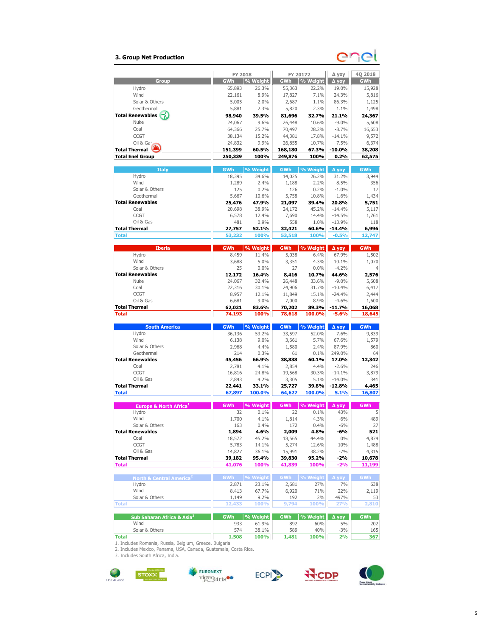### 3. Group Net Production

# enei

| % Weight<br><b>Group</b><br><b>GWh</b><br>GWh<br>% Weight<br>GWh<br>Д уоу<br>26.3%<br>19.0%<br>Hydro<br>65,893<br>55,363<br>22.2%<br>Wind<br>24.3%<br>22,161<br>8.9%<br>17,827<br>7.1%<br>Solar & Others<br>86.3%<br>5,005<br>2.0%<br>2,687<br>1.1%<br>Geothermal<br>2.3%<br>5,820<br>2.3%<br>1.1%<br>1,498<br>5,881<br><b>Total Renewables</b><br>32.7%<br>21.1%<br>24,367<br>98,940<br>39.5%<br>81,696<br>Nuke<br>9.6%<br>26,448<br>$-9.0%$<br>5,608<br>24,067<br>10.6%<br>Coal<br>64,366<br>25.7%<br>70,497<br>28.2%<br>$-8.7%$<br>16,653<br><b>CCGT</b><br>15.2%<br>$-14.1%$<br>38,134<br>44,381<br>17.8%<br>9,572<br>Oil & Gan<br>9.9%<br>$-7.5%$<br>6,374<br>24,832<br>26,855<br>10.7%<br><b>Total Thermal</b><br>151,399<br>60.5%<br>168,180<br>67.3%<br>$-10.0%$<br>38,208<br><b>Total Enel Group</b><br>100%<br>0.2%<br>250,339<br>249,876<br>100%<br><b>Italy</b><br>GWh<br>% Weight<br><b>GWh</b><br>% Weight<br><b>GWh</b><br>Д уоу<br>Hydro<br>26.2%<br>18,395<br>34.6%<br>14,025<br>31.2%<br>3,944<br>Wind<br>1,289<br>2.4%<br>2.2%<br>8.5%<br>356<br>1,188<br>Solar & Others<br>125<br>0.2%<br>126<br>0.2%<br>$-1.0%$<br>17<br>Geothermal<br>5,758<br>1,434<br>5,667<br>10.6%<br>10.8%<br>$-1.6%$<br><b>Total Renewables</b><br>25,476<br>47.9%<br>21,097<br>39.4%<br>20.8%<br>5,751<br>Coal<br>20,698<br>38.9%<br>24,172<br>45.2%<br>$-14.4%$<br><b>CCGT</b><br>6,578<br>12.4%<br>7,690<br>14.4%<br>$-14.5%$<br>Oil & Gas<br>481<br>0.9%<br>558<br>1.0%<br>$-13.9%$<br><b>Total Thermal</b><br>60.6%<br>$-14.4%$<br>27,757<br>52.1%<br>32,421<br>$-0.5%$<br><b>Total</b><br>53,232<br>100%<br>53,518<br>100%<br>12,747<br><b>Iberia</b><br><b>GWh</b><br>% Weight<br>% Weight<br><b>GWh</b><br><b>GWh</b><br>∆ уоу<br>Hydro<br>8,459<br>11.4%<br>5,038<br>6.4%<br>67.9%<br>Wind<br>3,688<br>5.0%<br>3,351<br>4.3%<br>10.1%<br>Solar & Others<br>25<br>0.0%<br>27<br>0.0%<br>$-4.2%$<br><b>Total Renewables</b><br>12,172<br>8,416<br>2,576<br>16.4%<br>10.7%<br>44.6%<br>Nuke<br>24,067<br>32.4%<br>26,448<br>33.6%<br>$-9.0%$<br>5,608<br>Coal<br>30.1%<br>31.7%<br>6,417<br>22,316<br>24,906<br>$-10.4%$<br><b>CCGT</b><br>12.1%<br>11,849<br>$-24.4%$<br>2,444<br>8,957<br>15.1%<br>Oil & Gas<br>7,000<br>6,681<br>9.0%<br>8.9%<br>$-4.6%$<br>1,600<br><b>Total Thermal</b><br>62,021<br>83.6%<br>70,202<br>89.3%<br>$-11.7%$<br>16,068<br>100%<br><b>Total</b><br>74,193<br>78,618<br>100.0%<br>$-5.6%$<br><b>South America</b><br><b>GWh</b><br>% Weight<br><b>GWh</b><br>% Weight<br>∆ уоу<br><b>GWh</b><br>Hydro<br>53.2%<br>33,597<br>52.0%<br>7.6%<br>36,136<br>Wind<br>9.0%<br>3,661<br>5.7%<br>67.6%<br>6,138<br>Solar & Others<br>4.4%<br>1,580<br>2.4%<br>2,968<br>87.9%<br>Geothermal<br>214<br>0.3%<br>61<br>249.0%<br>0.1%<br><b>Total Renewables</b><br>45,456<br>66.9%<br>38,838<br>60.1%<br>17.0%<br>Coal<br>4.1%<br>2,854<br>$-2.6%$<br>2,781<br>4.4%<br><b>CCGT</b><br>$-14.1%$<br>16,816<br>24.8%<br>19,568<br>30.3%<br>Oil & Gas<br>4.2%<br>2,843<br>3,305<br>5.1%<br>$-14.0%$<br><b>Total Thermal</b><br>33.1%<br>39.8%<br>$-12.8%$<br>22,441<br>25,727<br><b>Total</b><br>67,897<br>100.0%<br>64,627<br>100.0%<br>5.1%<br><b>GWh</b><br>% Weight<br><b>GWh</b><br>% Weight<br>Europe & North Africa <sup>1</sup><br>GWh<br>∆ уоу<br>Hydro<br>32<br>0.1%<br>22<br>0.1%<br>43%<br>Wind<br>1,700<br>4.1%<br>1.814<br>4.3%<br>$-6%$<br>Solar & Others<br>$-6%$<br>163<br>0.4%<br>172<br>0.4%<br><b>Total Renewables</b><br>1,894<br>4.6%<br>2,009<br>4.8%<br>-6%<br>Coal<br>18,572<br>45.2%<br>18,565<br>44.4%<br>$0\%$<br>CCGT<br>5,783<br>14.1%<br>5,274<br>12.6%<br>10%<br>Oil & Gas<br>14,827<br>36.1%<br>15,991<br>38.2%<br>$-7%$<br><b>Total Thermal</b><br>95.4%<br>95.2%<br>-2%<br>39,182<br>39,830<br><b>Total</b><br>41,076<br>100%<br>41,839<br>100%<br>$-2%$<br>GWh % Weight<br><b>GWh</b><br>% Weight<br><b>GWh</b><br>Д уоу<br>North & Central America <sup>2</sup><br>Hydro<br>2,871<br>23.1%<br>2,681<br>27%<br>7%<br>Wind<br>8,413<br>67.7%<br>6,920<br>71%<br>22%<br>Solar & Others<br>9.2%<br>192<br>2%<br>497%<br>1,149<br>100%<br>12,433<br>9,794<br>100%<br>27%<br><b>Total</b><br><b>GWh</b><br>% Weight<br><b>GWh</b><br>% Weight<br><b>GWh</b><br>Sub Saharan Africa & Asia <sup>3</sup><br>∆ уоу<br>Wind<br>933<br>61.9%<br>892<br>60%<br>5%<br>Solar & Others<br>574<br>38.1%<br>589<br>40%<br>$-3%$<br>1,508<br>100%<br>1,481<br>100%<br>2%<br><b>Total</b><br>1. Includes Romania, Russia, Belgium, Greece, Bulgaria | FY 2018 | FY 20172 | ∆ уоу | 4Q 2018        |
|----------------------------------------------------------------------------------------------------------------------------------------------------------------------------------------------------------------------------------------------------------------------------------------------------------------------------------------------------------------------------------------------------------------------------------------------------------------------------------------------------------------------------------------------------------------------------------------------------------------------------------------------------------------------------------------------------------------------------------------------------------------------------------------------------------------------------------------------------------------------------------------------------------------------------------------------------------------------------------------------------------------------------------------------------------------------------------------------------------------------------------------------------------------------------------------------------------------------------------------------------------------------------------------------------------------------------------------------------------------------------------------------------------------------------------------------------------------------------------------------------------------------------------------------------------------------------------------------------------------------------------------------------------------------------------------------------------------------------------------------------------------------------------------------------------------------------------------------------------------------------------------------------------------------------------------------------------------------------------------------------------------------------------------------------------------------------------------------------------------------------------------------------------------------------------------------------------------------------------------------------------------------------------------------------------------------------------------------------------------------------------------------------------------------------------------------------------------------------------------------------------------------------------------------------------------------------------------------------------------------------------------------------------------------------------------------------------------------------------------------------------------------------------------------------------------------------------------------------------------------------------------------------------------------------------------------------------------------------------------------------------------------------------------------------------------------------------------------------------------------------------------------------------------------------------------------------------------------------------------------------------------------------------------------------------------------------------------------------------------------------------------------------------------------------------------------------------------------------------------------------------------------------------------------------------------------------------------------------------------------------------------------------------------------------------------------------------------------------------------------------------------------------------------------------------------------------------------------------------------------------------------------------------------------------------------------------------------------------------------------------------------------------------------------------------------------------------------------------------------------------------------------------------------------------------------------------------------------------------------------------------------------------------------------------------------------------------------------------------------------------------------------------------------------------------------------------------------------------------------|---------|----------|-------|----------------|
|                                                                                                                                                                                                                                                                                                                                                                                                                                                                                                                                                                                                                                                                                                                                                                                                                                                                                                                                                                                                                                                                                                                                                                                                                                                                                                                                                                                                                                                                                                                                                                                                                                                                                                                                                                                                                                                                                                                                                                                                                                                                                                                                                                                                                                                                                                                                                                                                                                                                                                                                                                                                                                                                                                                                                                                                                                                                                                                                                                                                                                                                                                                                                                                                                                                                                                                                                                                                                                                                                                                                                                                                                                                                                                                                                                                                                                                                                                                                                                                                                                                                                                                                                                                                                                                                                                                                                                                                                                                                                        |         |          |       |                |
|                                                                                                                                                                                                                                                                                                                                                                                                                                                                                                                                                                                                                                                                                                                                                                                                                                                                                                                                                                                                                                                                                                                                                                                                                                                                                                                                                                                                                                                                                                                                                                                                                                                                                                                                                                                                                                                                                                                                                                                                                                                                                                                                                                                                                                                                                                                                                                                                                                                                                                                                                                                                                                                                                                                                                                                                                                                                                                                                                                                                                                                                                                                                                                                                                                                                                                                                                                                                                                                                                                                                                                                                                                                                                                                                                                                                                                                                                                                                                                                                                                                                                                                                                                                                                                                                                                                                                                                                                                                                                        |         |          |       | 15,928         |
|                                                                                                                                                                                                                                                                                                                                                                                                                                                                                                                                                                                                                                                                                                                                                                                                                                                                                                                                                                                                                                                                                                                                                                                                                                                                                                                                                                                                                                                                                                                                                                                                                                                                                                                                                                                                                                                                                                                                                                                                                                                                                                                                                                                                                                                                                                                                                                                                                                                                                                                                                                                                                                                                                                                                                                                                                                                                                                                                                                                                                                                                                                                                                                                                                                                                                                                                                                                                                                                                                                                                                                                                                                                                                                                                                                                                                                                                                                                                                                                                                                                                                                                                                                                                                                                                                                                                                                                                                                                                                        |         |          |       | 5,816          |
|                                                                                                                                                                                                                                                                                                                                                                                                                                                                                                                                                                                                                                                                                                                                                                                                                                                                                                                                                                                                                                                                                                                                                                                                                                                                                                                                                                                                                                                                                                                                                                                                                                                                                                                                                                                                                                                                                                                                                                                                                                                                                                                                                                                                                                                                                                                                                                                                                                                                                                                                                                                                                                                                                                                                                                                                                                                                                                                                                                                                                                                                                                                                                                                                                                                                                                                                                                                                                                                                                                                                                                                                                                                                                                                                                                                                                                                                                                                                                                                                                                                                                                                                                                                                                                                                                                                                                                                                                                                                                        |         |          |       | 1,125          |
|                                                                                                                                                                                                                                                                                                                                                                                                                                                                                                                                                                                                                                                                                                                                                                                                                                                                                                                                                                                                                                                                                                                                                                                                                                                                                                                                                                                                                                                                                                                                                                                                                                                                                                                                                                                                                                                                                                                                                                                                                                                                                                                                                                                                                                                                                                                                                                                                                                                                                                                                                                                                                                                                                                                                                                                                                                                                                                                                                                                                                                                                                                                                                                                                                                                                                                                                                                                                                                                                                                                                                                                                                                                                                                                                                                                                                                                                                                                                                                                                                                                                                                                                                                                                                                                                                                                                                                                                                                                                                        |         |          |       |                |
|                                                                                                                                                                                                                                                                                                                                                                                                                                                                                                                                                                                                                                                                                                                                                                                                                                                                                                                                                                                                                                                                                                                                                                                                                                                                                                                                                                                                                                                                                                                                                                                                                                                                                                                                                                                                                                                                                                                                                                                                                                                                                                                                                                                                                                                                                                                                                                                                                                                                                                                                                                                                                                                                                                                                                                                                                                                                                                                                                                                                                                                                                                                                                                                                                                                                                                                                                                                                                                                                                                                                                                                                                                                                                                                                                                                                                                                                                                                                                                                                                                                                                                                                                                                                                                                                                                                                                                                                                                                                                        |         |          |       |                |
|                                                                                                                                                                                                                                                                                                                                                                                                                                                                                                                                                                                                                                                                                                                                                                                                                                                                                                                                                                                                                                                                                                                                                                                                                                                                                                                                                                                                                                                                                                                                                                                                                                                                                                                                                                                                                                                                                                                                                                                                                                                                                                                                                                                                                                                                                                                                                                                                                                                                                                                                                                                                                                                                                                                                                                                                                                                                                                                                                                                                                                                                                                                                                                                                                                                                                                                                                                                                                                                                                                                                                                                                                                                                                                                                                                                                                                                                                                                                                                                                                                                                                                                                                                                                                                                                                                                                                                                                                                                                                        |         |          |       |                |
|                                                                                                                                                                                                                                                                                                                                                                                                                                                                                                                                                                                                                                                                                                                                                                                                                                                                                                                                                                                                                                                                                                                                                                                                                                                                                                                                                                                                                                                                                                                                                                                                                                                                                                                                                                                                                                                                                                                                                                                                                                                                                                                                                                                                                                                                                                                                                                                                                                                                                                                                                                                                                                                                                                                                                                                                                                                                                                                                                                                                                                                                                                                                                                                                                                                                                                                                                                                                                                                                                                                                                                                                                                                                                                                                                                                                                                                                                                                                                                                                                                                                                                                                                                                                                                                                                                                                                                                                                                                                                        |         |          |       |                |
|                                                                                                                                                                                                                                                                                                                                                                                                                                                                                                                                                                                                                                                                                                                                                                                                                                                                                                                                                                                                                                                                                                                                                                                                                                                                                                                                                                                                                                                                                                                                                                                                                                                                                                                                                                                                                                                                                                                                                                                                                                                                                                                                                                                                                                                                                                                                                                                                                                                                                                                                                                                                                                                                                                                                                                                                                                                                                                                                                                                                                                                                                                                                                                                                                                                                                                                                                                                                                                                                                                                                                                                                                                                                                                                                                                                                                                                                                                                                                                                                                                                                                                                                                                                                                                                                                                                                                                                                                                                                                        |         |          |       |                |
|                                                                                                                                                                                                                                                                                                                                                                                                                                                                                                                                                                                                                                                                                                                                                                                                                                                                                                                                                                                                                                                                                                                                                                                                                                                                                                                                                                                                                                                                                                                                                                                                                                                                                                                                                                                                                                                                                                                                                                                                                                                                                                                                                                                                                                                                                                                                                                                                                                                                                                                                                                                                                                                                                                                                                                                                                                                                                                                                                                                                                                                                                                                                                                                                                                                                                                                                                                                                                                                                                                                                                                                                                                                                                                                                                                                                                                                                                                                                                                                                                                                                                                                                                                                                                                                                                                                                                                                                                                                                                        |         |          |       |                |
|                                                                                                                                                                                                                                                                                                                                                                                                                                                                                                                                                                                                                                                                                                                                                                                                                                                                                                                                                                                                                                                                                                                                                                                                                                                                                                                                                                                                                                                                                                                                                                                                                                                                                                                                                                                                                                                                                                                                                                                                                                                                                                                                                                                                                                                                                                                                                                                                                                                                                                                                                                                                                                                                                                                                                                                                                                                                                                                                                                                                                                                                                                                                                                                                                                                                                                                                                                                                                                                                                                                                                                                                                                                                                                                                                                                                                                                                                                                                                                                                                                                                                                                                                                                                                                                                                                                                                                                                                                                                                        |         |          |       | 62,575         |
|                                                                                                                                                                                                                                                                                                                                                                                                                                                                                                                                                                                                                                                                                                                                                                                                                                                                                                                                                                                                                                                                                                                                                                                                                                                                                                                                                                                                                                                                                                                                                                                                                                                                                                                                                                                                                                                                                                                                                                                                                                                                                                                                                                                                                                                                                                                                                                                                                                                                                                                                                                                                                                                                                                                                                                                                                                                                                                                                                                                                                                                                                                                                                                                                                                                                                                                                                                                                                                                                                                                                                                                                                                                                                                                                                                                                                                                                                                                                                                                                                                                                                                                                                                                                                                                                                                                                                                                                                                                                                        |         |          |       |                |
|                                                                                                                                                                                                                                                                                                                                                                                                                                                                                                                                                                                                                                                                                                                                                                                                                                                                                                                                                                                                                                                                                                                                                                                                                                                                                                                                                                                                                                                                                                                                                                                                                                                                                                                                                                                                                                                                                                                                                                                                                                                                                                                                                                                                                                                                                                                                                                                                                                                                                                                                                                                                                                                                                                                                                                                                                                                                                                                                                                                                                                                                                                                                                                                                                                                                                                                                                                                                                                                                                                                                                                                                                                                                                                                                                                                                                                                                                                                                                                                                                                                                                                                                                                                                                                                                                                                                                                                                                                                                                        |         |          |       |                |
|                                                                                                                                                                                                                                                                                                                                                                                                                                                                                                                                                                                                                                                                                                                                                                                                                                                                                                                                                                                                                                                                                                                                                                                                                                                                                                                                                                                                                                                                                                                                                                                                                                                                                                                                                                                                                                                                                                                                                                                                                                                                                                                                                                                                                                                                                                                                                                                                                                                                                                                                                                                                                                                                                                                                                                                                                                                                                                                                                                                                                                                                                                                                                                                                                                                                                                                                                                                                                                                                                                                                                                                                                                                                                                                                                                                                                                                                                                                                                                                                                                                                                                                                                                                                                                                                                                                                                                                                                                                                                        |         |          |       |                |
|                                                                                                                                                                                                                                                                                                                                                                                                                                                                                                                                                                                                                                                                                                                                                                                                                                                                                                                                                                                                                                                                                                                                                                                                                                                                                                                                                                                                                                                                                                                                                                                                                                                                                                                                                                                                                                                                                                                                                                                                                                                                                                                                                                                                                                                                                                                                                                                                                                                                                                                                                                                                                                                                                                                                                                                                                                                                                                                                                                                                                                                                                                                                                                                                                                                                                                                                                                                                                                                                                                                                                                                                                                                                                                                                                                                                                                                                                                                                                                                                                                                                                                                                                                                                                                                                                                                                                                                                                                                                                        |         |          |       |                |
|                                                                                                                                                                                                                                                                                                                                                                                                                                                                                                                                                                                                                                                                                                                                                                                                                                                                                                                                                                                                                                                                                                                                                                                                                                                                                                                                                                                                                                                                                                                                                                                                                                                                                                                                                                                                                                                                                                                                                                                                                                                                                                                                                                                                                                                                                                                                                                                                                                                                                                                                                                                                                                                                                                                                                                                                                                                                                                                                                                                                                                                                                                                                                                                                                                                                                                                                                                                                                                                                                                                                                                                                                                                                                                                                                                                                                                                                                                                                                                                                                                                                                                                                                                                                                                                                                                                                                                                                                                                                                        |         |          |       |                |
|                                                                                                                                                                                                                                                                                                                                                                                                                                                                                                                                                                                                                                                                                                                                                                                                                                                                                                                                                                                                                                                                                                                                                                                                                                                                                                                                                                                                                                                                                                                                                                                                                                                                                                                                                                                                                                                                                                                                                                                                                                                                                                                                                                                                                                                                                                                                                                                                                                                                                                                                                                                                                                                                                                                                                                                                                                                                                                                                                                                                                                                                                                                                                                                                                                                                                                                                                                                                                                                                                                                                                                                                                                                                                                                                                                                                                                                                                                                                                                                                                                                                                                                                                                                                                                                                                                                                                                                                                                                                                        |         |          |       |                |
|                                                                                                                                                                                                                                                                                                                                                                                                                                                                                                                                                                                                                                                                                                                                                                                                                                                                                                                                                                                                                                                                                                                                                                                                                                                                                                                                                                                                                                                                                                                                                                                                                                                                                                                                                                                                                                                                                                                                                                                                                                                                                                                                                                                                                                                                                                                                                                                                                                                                                                                                                                                                                                                                                                                                                                                                                                                                                                                                                                                                                                                                                                                                                                                                                                                                                                                                                                                                                                                                                                                                                                                                                                                                                                                                                                                                                                                                                                                                                                                                                                                                                                                                                                                                                                                                                                                                                                                                                                                                                        |         |          |       | 5,117          |
|                                                                                                                                                                                                                                                                                                                                                                                                                                                                                                                                                                                                                                                                                                                                                                                                                                                                                                                                                                                                                                                                                                                                                                                                                                                                                                                                                                                                                                                                                                                                                                                                                                                                                                                                                                                                                                                                                                                                                                                                                                                                                                                                                                                                                                                                                                                                                                                                                                                                                                                                                                                                                                                                                                                                                                                                                                                                                                                                                                                                                                                                                                                                                                                                                                                                                                                                                                                                                                                                                                                                                                                                                                                                                                                                                                                                                                                                                                                                                                                                                                                                                                                                                                                                                                                                                                                                                                                                                                                                                        |         |          |       | 1,761          |
|                                                                                                                                                                                                                                                                                                                                                                                                                                                                                                                                                                                                                                                                                                                                                                                                                                                                                                                                                                                                                                                                                                                                                                                                                                                                                                                                                                                                                                                                                                                                                                                                                                                                                                                                                                                                                                                                                                                                                                                                                                                                                                                                                                                                                                                                                                                                                                                                                                                                                                                                                                                                                                                                                                                                                                                                                                                                                                                                                                                                                                                                                                                                                                                                                                                                                                                                                                                                                                                                                                                                                                                                                                                                                                                                                                                                                                                                                                                                                                                                                                                                                                                                                                                                                                                                                                                                                                                                                                                                                        |         |          |       | 118            |
|                                                                                                                                                                                                                                                                                                                                                                                                                                                                                                                                                                                                                                                                                                                                                                                                                                                                                                                                                                                                                                                                                                                                                                                                                                                                                                                                                                                                                                                                                                                                                                                                                                                                                                                                                                                                                                                                                                                                                                                                                                                                                                                                                                                                                                                                                                                                                                                                                                                                                                                                                                                                                                                                                                                                                                                                                                                                                                                                                                                                                                                                                                                                                                                                                                                                                                                                                                                                                                                                                                                                                                                                                                                                                                                                                                                                                                                                                                                                                                                                                                                                                                                                                                                                                                                                                                                                                                                                                                                                                        |         |          |       | 6,996          |
|                                                                                                                                                                                                                                                                                                                                                                                                                                                                                                                                                                                                                                                                                                                                                                                                                                                                                                                                                                                                                                                                                                                                                                                                                                                                                                                                                                                                                                                                                                                                                                                                                                                                                                                                                                                                                                                                                                                                                                                                                                                                                                                                                                                                                                                                                                                                                                                                                                                                                                                                                                                                                                                                                                                                                                                                                                                                                                                                                                                                                                                                                                                                                                                                                                                                                                                                                                                                                                                                                                                                                                                                                                                                                                                                                                                                                                                                                                                                                                                                                                                                                                                                                                                                                                                                                                                                                                                                                                                                                        |         |          |       |                |
|                                                                                                                                                                                                                                                                                                                                                                                                                                                                                                                                                                                                                                                                                                                                                                                                                                                                                                                                                                                                                                                                                                                                                                                                                                                                                                                                                                                                                                                                                                                                                                                                                                                                                                                                                                                                                                                                                                                                                                                                                                                                                                                                                                                                                                                                                                                                                                                                                                                                                                                                                                                                                                                                                                                                                                                                                                                                                                                                                                                                                                                                                                                                                                                                                                                                                                                                                                                                                                                                                                                                                                                                                                                                                                                                                                                                                                                                                                                                                                                                                                                                                                                                                                                                                                                                                                                                                                                                                                                                                        |         |          |       |                |
|                                                                                                                                                                                                                                                                                                                                                                                                                                                                                                                                                                                                                                                                                                                                                                                                                                                                                                                                                                                                                                                                                                                                                                                                                                                                                                                                                                                                                                                                                                                                                                                                                                                                                                                                                                                                                                                                                                                                                                                                                                                                                                                                                                                                                                                                                                                                                                                                                                                                                                                                                                                                                                                                                                                                                                                                                                                                                                                                                                                                                                                                                                                                                                                                                                                                                                                                                                                                                                                                                                                                                                                                                                                                                                                                                                                                                                                                                                                                                                                                                                                                                                                                                                                                                                                                                                                                                                                                                                                                                        |         |          |       | 1,502          |
|                                                                                                                                                                                                                                                                                                                                                                                                                                                                                                                                                                                                                                                                                                                                                                                                                                                                                                                                                                                                                                                                                                                                                                                                                                                                                                                                                                                                                                                                                                                                                                                                                                                                                                                                                                                                                                                                                                                                                                                                                                                                                                                                                                                                                                                                                                                                                                                                                                                                                                                                                                                                                                                                                                                                                                                                                                                                                                                                                                                                                                                                                                                                                                                                                                                                                                                                                                                                                                                                                                                                                                                                                                                                                                                                                                                                                                                                                                                                                                                                                                                                                                                                                                                                                                                                                                                                                                                                                                                                                        |         |          |       | 1,070          |
|                                                                                                                                                                                                                                                                                                                                                                                                                                                                                                                                                                                                                                                                                                                                                                                                                                                                                                                                                                                                                                                                                                                                                                                                                                                                                                                                                                                                                                                                                                                                                                                                                                                                                                                                                                                                                                                                                                                                                                                                                                                                                                                                                                                                                                                                                                                                                                                                                                                                                                                                                                                                                                                                                                                                                                                                                                                                                                                                                                                                                                                                                                                                                                                                                                                                                                                                                                                                                                                                                                                                                                                                                                                                                                                                                                                                                                                                                                                                                                                                                                                                                                                                                                                                                                                                                                                                                                                                                                                                                        |         |          |       |                |
|                                                                                                                                                                                                                                                                                                                                                                                                                                                                                                                                                                                                                                                                                                                                                                                                                                                                                                                                                                                                                                                                                                                                                                                                                                                                                                                                                                                                                                                                                                                                                                                                                                                                                                                                                                                                                                                                                                                                                                                                                                                                                                                                                                                                                                                                                                                                                                                                                                                                                                                                                                                                                                                                                                                                                                                                                                                                                                                                                                                                                                                                                                                                                                                                                                                                                                                                                                                                                                                                                                                                                                                                                                                                                                                                                                                                                                                                                                                                                                                                                                                                                                                                                                                                                                                                                                                                                                                                                                                                                        |         |          |       |                |
|                                                                                                                                                                                                                                                                                                                                                                                                                                                                                                                                                                                                                                                                                                                                                                                                                                                                                                                                                                                                                                                                                                                                                                                                                                                                                                                                                                                                                                                                                                                                                                                                                                                                                                                                                                                                                                                                                                                                                                                                                                                                                                                                                                                                                                                                                                                                                                                                                                                                                                                                                                                                                                                                                                                                                                                                                                                                                                                                                                                                                                                                                                                                                                                                                                                                                                                                                                                                                                                                                                                                                                                                                                                                                                                                                                                                                                                                                                                                                                                                                                                                                                                                                                                                                                                                                                                                                                                                                                                                                        |         |          |       |                |
|                                                                                                                                                                                                                                                                                                                                                                                                                                                                                                                                                                                                                                                                                                                                                                                                                                                                                                                                                                                                                                                                                                                                                                                                                                                                                                                                                                                                                                                                                                                                                                                                                                                                                                                                                                                                                                                                                                                                                                                                                                                                                                                                                                                                                                                                                                                                                                                                                                                                                                                                                                                                                                                                                                                                                                                                                                                                                                                                                                                                                                                                                                                                                                                                                                                                                                                                                                                                                                                                                                                                                                                                                                                                                                                                                                                                                                                                                                                                                                                                                                                                                                                                                                                                                                                                                                                                                                                                                                                                                        |         |          |       |                |
|                                                                                                                                                                                                                                                                                                                                                                                                                                                                                                                                                                                                                                                                                                                                                                                                                                                                                                                                                                                                                                                                                                                                                                                                                                                                                                                                                                                                                                                                                                                                                                                                                                                                                                                                                                                                                                                                                                                                                                                                                                                                                                                                                                                                                                                                                                                                                                                                                                                                                                                                                                                                                                                                                                                                                                                                                                                                                                                                                                                                                                                                                                                                                                                                                                                                                                                                                                                                                                                                                                                                                                                                                                                                                                                                                                                                                                                                                                                                                                                                                                                                                                                                                                                                                                                                                                                                                                                                                                                                                        |         |          |       |                |
|                                                                                                                                                                                                                                                                                                                                                                                                                                                                                                                                                                                                                                                                                                                                                                                                                                                                                                                                                                                                                                                                                                                                                                                                                                                                                                                                                                                                                                                                                                                                                                                                                                                                                                                                                                                                                                                                                                                                                                                                                                                                                                                                                                                                                                                                                                                                                                                                                                                                                                                                                                                                                                                                                                                                                                                                                                                                                                                                                                                                                                                                                                                                                                                                                                                                                                                                                                                                                                                                                                                                                                                                                                                                                                                                                                                                                                                                                                                                                                                                                                                                                                                                                                                                                                                                                                                                                                                                                                                                                        |         |          |       |                |
|                                                                                                                                                                                                                                                                                                                                                                                                                                                                                                                                                                                                                                                                                                                                                                                                                                                                                                                                                                                                                                                                                                                                                                                                                                                                                                                                                                                                                                                                                                                                                                                                                                                                                                                                                                                                                                                                                                                                                                                                                                                                                                                                                                                                                                                                                                                                                                                                                                                                                                                                                                                                                                                                                                                                                                                                                                                                                                                                                                                                                                                                                                                                                                                                                                                                                                                                                                                                                                                                                                                                                                                                                                                                                                                                                                                                                                                                                                                                                                                                                                                                                                                                                                                                                                                                                                                                                                                                                                                                                        |         |          |       |                |
|                                                                                                                                                                                                                                                                                                                                                                                                                                                                                                                                                                                                                                                                                                                                                                                                                                                                                                                                                                                                                                                                                                                                                                                                                                                                                                                                                                                                                                                                                                                                                                                                                                                                                                                                                                                                                                                                                                                                                                                                                                                                                                                                                                                                                                                                                                                                                                                                                                                                                                                                                                                                                                                                                                                                                                                                                                                                                                                                                                                                                                                                                                                                                                                                                                                                                                                                                                                                                                                                                                                                                                                                                                                                                                                                                                                                                                                                                                                                                                                                                                                                                                                                                                                                                                                                                                                                                                                                                                                                                        |         |          |       | 18,645         |
|                                                                                                                                                                                                                                                                                                                                                                                                                                                                                                                                                                                                                                                                                                                                                                                                                                                                                                                                                                                                                                                                                                                                                                                                                                                                                                                                                                                                                                                                                                                                                                                                                                                                                                                                                                                                                                                                                                                                                                                                                                                                                                                                                                                                                                                                                                                                                                                                                                                                                                                                                                                                                                                                                                                                                                                                                                                                                                                                                                                                                                                                                                                                                                                                                                                                                                                                                                                                                                                                                                                                                                                                                                                                                                                                                                                                                                                                                                                                                                                                                                                                                                                                                                                                                                                                                                                                                                                                                                                                                        |         |          |       |                |
|                                                                                                                                                                                                                                                                                                                                                                                                                                                                                                                                                                                                                                                                                                                                                                                                                                                                                                                                                                                                                                                                                                                                                                                                                                                                                                                                                                                                                                                                                                                                                                                                                                                                                                                                                                                                                                                                                                                                                                                                                                                                                                                                                                                                                                                                                                                                                                                                                                                                                                                                                                                                                                                                                                                                                                                                                                                                                                                                                                                                                                                                                                                                                                                                                                                                                                                                                                                                                                                                                                                                                                                                                                                                                                                                                                                                                                                                                                                                                                                                                                                                                                                                                                                                                                                                                                                                                                                                                                                                                        |         |          |       |                |
|                                                                                                                                                                                                                                                                                                                                                                                                                                                                                                                                                                                                                                                                                                                                                                                                                                                                                                                                                                                                                                                                                                                                                                                                                                                                                                                                                                                                                                                                                                                                                                                                                                                                                                                                                                                                                                                                                                                                                                                                                                                                                                                                                                                                                                                                                                                                                                                                                                                                                                                                                                                                                                                                                                                                                                                                                                                                                                                                                                                                                                                                                                                                                                                                                                                                                                                                                                                                                                                                                                                                                                                                                                                                                                                                                                                                                                                                                                                                                                                                                                                                                                                                                                                                                                                                                                                                                                                                                                                                                        |         |          |       | 9,839          |
|                                                                                                                                                                                                                                                                                                                                                                                                                                                                                                                                                                                                                                                                                                                                                                                                                                                                                                                                                                                                                                                                                                                                                                                                                                                                                                                                                                                                                                                                                                                                                                                                                                                                                                                                                                                                                                                                                                                                                                                                                                                                                                                                                                                                                                                                                                                                                                                                                                                                                                                                                                                                                                                                                                                                                                                                                                                                                                                                                                                                                                                                                                                                                                                                                                                                                                                                                                                                                                                                                                                                                                                                                                                                                                                                                                                                                                                                                                                                                                                                                                                                                                                                                                                                                                                                                                                                                                                                                                                                                        |         |          |       | 1,579          |
|                                                                                                                                                                                                                                                                                                                                                                                                                                                                                                                                                                                                                                                                                                                                                                                                                                                                                                                                                                                                                                                                                                                                                                                                                                                                                                                                                                                                                                                                                                                                                                                                                                                                                                                                                                                                                                                                                                                                                                                                                                                                                                                                                                                                                                                                                                                                                                                                                                                                                                                                                                                                                                                                                                                                                                                                                                                                                                                                                                                                                                                                                                                                                                                                                                                                                                                                                                                                                                                                                                                                                                                                                                                                                                                                                                                                                                                                                                                                                                                                                                                                                                                                                                                                                                                                                                                                                                                                                                                                                        |         |          |       | 860<br>64      |
|                                                                                                                                                                                                                                                                                                                                                                                                                                                                                                                                                                                                                                                                                                                                                                                                                                                                                                                                                                                                                                                                                                                                                                                                                                                                                                                                                                                                                                                                                                                                                                                                                                                                                                                                                                                                                                                                                                                                                                                                                                                                                                                                                                                                                                                                                                                                                                                                                                                                                                                                                                                                                                                                                                                                                                                                                                                                                                                                                                                                                                                                                                                                                                                                                                                                                                                                                                                                                                                                                                                                                                                                                                                                                                                                                                                                                                                                                                                                                                                                                                                                                                                                                                                                                                                                                                                                                                                                                                                                                        |         |          |       | 12,342         |
|                                                                                                                                                                                                                                                                                                                                                                                                                                                                                                                                                                                                                                                                                                                                                                                                                                                                                                                                                                                                                                                                                                                                                                                                                                                                                                                                                                                                                                                                                                                                                                                                                                                                                                                                                                                                                                                                                                                                                                                                                                                                                                                                                                                                                                                                                                                                                                                                                                                                                                                                                                                                                                                                                                                                                                                                                                                                                                                                                                                                                                                                                                                                                                                                                                                                                                                                                                                                                                                                                                                                                                                                                                                                                                                                                                                                                                                                                                                                                                                                                                                                                                                                                                                                                                                                                                                                                                                                                                                                                        |         |          |       | 246            |
|                                                                                                                                                                                                                                                                                                                                                                                                                                                                                                                                                                                                                                                                                                                                                                                                                                                                                                                                                                                                                                                                                                                                                                                                                                                                                                                                                                                                                                                                                                                                                                                                                                                                                                                                                                                                                                                                                                                                                                                                                                                                                                                                                                                                                                                                                                                                                                                                                                                                                                                                                                                                                                                                                                                                                                                                                                                                                                                                                                                                                                                                                                                                                                                                                                                                                                                                                                                                                                                                                                                                                                                                                                                                                                                                                                                                                                                                                                                                                                                                                                                                                                                                                                                                                                                                                                                                                                                                                                                                                        |         |          |       | 3,879          |
|                                                                                                                                                                                                                                                                                                                                                                                                                                                                                                                                                                                                                                                                                                                                                                                                                                                                                                                                                                                                                                                                                                                                                                                                                                                                                                                                                                                                                                                                                                                                                                                                                                                                                                                                                                                                                                                                                                                                                                                                                                                                                                                                                                                                                                                                                                                                                                                                                                                                                                                                                                                                                                                                                                                                                                                                                                                                                                                                                                                                                                                                                                                                                                                                                                                                                                                                                                                                                                                                                                                                                                                                                                                                                                                                                                                                                                                                                                                                                                                                                                                                                                                                                                                                                                                                                                                                                                                                                                                                                        |         |          |       | 341            |
|                                                                                                                                                                                                                                                                                                                                                                                                                                                                                                                                                                                                                                                                                                                                                                                                                                                                                                                                                                                                                                                                                                                                                                                                                                                                                                                                                                                                                                                                                                                                                                                                                                                                                                                                                                                                                                                                                                                                                                                                                                                                                                                                                                                                                                                                                                                                                                                                                                                                                                                                                                                                                                                                                                                                                                                                                                                                                                                                                                                                                                                                                                                                                                                                                                                                                                                                                                                                                                                                                                                                                                                                                                                                                                                                                                                                                                                                                                                                                                                                                                                                                                                                                                                                                                                                                                                                                                                                                                                                                        |         |          |       | 4,465          |
|                                                                                                                                                                                                                                                                                                                                                                                                                                                                                                                                                                                                                                                                                                                                                                                                                                                                                                                                                                                                                                                                                                                                                                                                                                                                                                                                                                                                                                                                                                                                                                                                                                                                                                                                                                                                                                                                                                                                                                                                                                                                                                                                                                                                                                                                                                                                                                                                                                                                                                                                                                                                                                                                                                                                                                                                                                                                                                                                                                                                                                                                                                                                                                                                                                                                                                                                                                                                                                                                                                                                                                                                                                                                                                                                                                                                                                                                                                                                                                                                                                                                                                                                                                                                                                                                                                                                                                                                                                                                                        |         |          |       | 16,807         |
|                                                                                                                                                                                                                                                                                                                                                                                                                                                                                                                                                                                                                                                                                                                                                                                                                                                                                                                                                                                                                                                                                                                                                                                                                                                                                                                                                                                                                                                                                                                                                                                                                                                                                                                                                                                                                                                                                                                                                                                                                                                                                                                                                                                                                                                                                                                                                                                                                                                                                                                                                                                                                                                                                                                                                                                                                                                                                                                                                                                                                                                                                                                                                                                                                                                                                                                                                                                                                                                                                                                                                                                                                                                                                                                                                                                                                                                                                                                                                                                                                                                                                                                                                                                                                                                                                                                                                                                                                                                                                        |         |          |       |                |
|                                                                                                                                                                                                                                                                                                                                                                                                                                                                                                                                                                                                                                                                                                                                                                                                                                                                                                                                                                                                                                                                                                                                                                                                                                                                                                                                                                                                                                                                                                                                                                                                                                                                                                                                                                                                                                                                                                                                                                                                                                                                                                                                                                                                                                                                                                                                                                                                                                                                                                                                                                                                                                                                                                                                                                                                                                                                                                                                                                                                                                                                                                                                                                                                                                                                                                                                                                                                                                                                                                                                                                                                                                                                                                                                                                                                                                                                                                                                                                                                                                                                                                                                                                                                                                                                                                                                                                                                                                                                                        |         |          |       | 5              |
|                                                                                                                                                                                                                                                                                                                                                                                                                                                                                                                                                                                                                                                                                                                                                                                                                                                                                                                                                                                                                                                                                                                                                                                                                                                                                                                                                                                                                                                                                                                                                                                                                                                                                                                                                                                                                                                                                                                                                                                                                                                                                                                                                                                                                                                                                                                                                                                                                                                                                                                                                                                                                                                                                                                                                                                                                                                                                                                                                                                                                                                                                                                                                                                                                                                                                                                                                                                                                                                                                                                                                                                                                                                                                                                                                                                                                                                                                                                                                                                                                                                                                                                                                                                                                                                                                                                                                                                                                                                                                        |         |          |       | 489            |
|                                                                                                                                                                                                                                                                                                                                                                                                                                                                                                                                                                                                                                                                                                                                                                                                                                                                                                                                                                                                                                                                                                                                                                                                                                                                                                                                                                                                                                                                                                                                                                                                                                                                                                                                                                                                                                                                                                                                                                                                                                                                                                                                                                                                                                                                                                                                                                                                                                                                                                                                                                                                                                                                                                                                                                                                                                                                                                                                                                                                                                                                                                                                                                                                                                                                                                                                                                                                                                                                                                                                                                                                                                                                                                                                                                                                                                                                                                                                                                                                                                                                                                                                                                                                                                                                                                                                                                                                                                                                                        |         |          |       | 27             |
|                                                                                                                                                                                                                                                                                                                                                                                                                                                                                                                                                                                                                                                                                                                                                                                                                                                                                                                                                                                                                                                                                                                                                                                                                                                                                                                                                                                                                                                                                                                                                                                                                                                                                                                                                                                                                                                                                                                                                                                                                                                                                                                                                                                                                                                                                                                                                                                                                                                                                                                                                                                                                                                                                                                                                                                                                                                                                                                                                                                                                                                                                                                                                                                                                                                                                                                                                                                                                                                                                                                                                                                                                                                                                                                                                                                                                                                                                                                                                                                                                                                                                                                                                                                                                                                                                                                                                                                                                                                                                        |         |          |       | 521            |
|                                                                                                                                                                                                                                                                                                                                                                                                                                                                                                                                                                                                                                                                                                                                                                                                                                                                                                                                                                                                                                                                                                                                                                                                                                                                                                                                                                                                                                                                                                                                                                                                                                                                                                                                                                                                                                                                                                                                                                                                                                                                                                                                                                                                                                                                                                                                                                                                                                                                                                                                                                                                                                                                                                                                                                                                                                                                                                                                                                                                                                                                                                                                                                                                                                                                                                                                                                                                                                                                                                                                                                                                                                                                                                                                                                                                                                                                                                                                                                                                                                                                                                                                                                                                                                                                                                                                                                                                                                                                                        |         |          |       | 4,874<br>1,488 |
|                                                                                                                                                                                                                                                                                                                                                                                                                                                                                                                                                                                                                                                                                                                                                                                                                                                                                                                                                                                                                                                                                                                                                                                                                                                                                                                                                                                                                                                                                                                                                                                                                                                                                                                                                                                                                                                                                                                                                                                                                                                                                                                                                                                                                                                                                                                                                                                                                                                                                                                                                                                                                                                                                                                                                                                                                                                                                                                                                                                                                                                                                                                                                                                                                                                                                                                                                                                                                                                                                                                                                                                                                                                                                                                                                                                                                                                                                                                                                                                                                                                                                                                                                                                                                                                                                                                                                                                                                                                                                        |         |          |       | 4,315          |
|                                                                                                                                                                                                                                                                                                                                                                                                                                                                                                                                                                                                                                                                                                                                                                                                                                                                                                                                                                                                                                                                                                                                                                                                                                                                                                                                                                                                                                                                                                                                                                                                                                                                                                                                                                                                                                                                                                                                                                                                                                                                                                                                                                                                                                                                                                                                                                                                                                                                                                                                                                                                                                                                                                                                                                                                                                                                                                                                                                                                                                                                                                                                                                                                                                                                                                                                                                                                                                                                                                                                                                                                                                                                                                                                                                                                                                                                                                                                                                                                                                                                                                                                                                                                                                                                                                                                                                                                                                                                                        |         |          |       | 10,678         |
|                                                                                                                                                                                                                                                                                                                                                                                                                                                                                                                                                                                                                                                                                                                                                                                                                                                                                                                                                                                                                                                                                                                                                                                                                                                                                                                                                                                                                                                                                                                                                                                                                                                                                                                                                                                                                                                                                                                                                                                                                                                                                                                                                                                                                                                                                                                                                                                                                                                                                                                                                                                                                                                                                                                                                                                                                                                                                                                                                                                                                                                                                                                                                                                                                                                                                                                                                                                                                                                                                                                                                                                                                                                                                                                                                                                                                                                                                                                                                                                                                                                                                                                                                                                                                                                                                                                                                                                                                                                                                        |         |          |       | 11,199         |
|                                                                                                                                                                                                                                                                                                                                                                                                                                                                                                                                                                                                                                                                                                                                                                                                                                                                                                                                                                                                                                                                                                                                                                                                                                                                                                                                                                                                                                                                                                                                                                                                                                                                                                                                                                                                                                                                                                                                                                                                                                                                                                                                                                                                                                                                                                                                                                                                                                                                                                                                                                                                                                                                                                                                                                                                                                                                                                                                                                                                                                                                                                                                                                                                                                                                                                                                                                                                                                                                                                                                                                                                                                                                                                                                                                                                                                                                                                                                                                                                                                                                                                                                                                                                                                                                                                                                                                                                                                                                                        |         |          |       |                |
|                                                                                                                                                                                                                                                                                                                                                                                                                                                                                                                                                                                                                                                                                                                                                                                                                                                                                                                                                                                                                                                                                                                                                                                                                                                                                                                                                                                                                                                                                                                                                                                                                                                                                                                                                                                                                                                                                                                                                                                                                                                                                                                                                                                                                                                                                                                                                                                                                                                                                                                                                                                                                                                                                                                                                                                                                                                                                                                                                                                                                                                                                                                                                                                                                                                                                                                                                                                                                                                                                                                                                                                                                                                                                                                                                                                                                                                                                                                                                                                                                                                                                                                                                                                                                                                                                                                                                                                                                                                                                        |         |          |       | 638            |
|                                                                                                                                                                                                                                                                                                                                                                                                                                                                                                                                                                                                                                                                                                                                                                                                                                                                                                                                                                                                                                                                                                                                                                                                                                                                                                                                                                                                                                                                                                                                                                                                                                                                                                                                                                                                                                                                                                                                                                                                                                                                                                                                                                                                                                                                                                                                                                                                                                                                                                                                                                                                                                                                                                                                                                                                                                                                                                                                                                                                                                                                                                                                                                                                                                                                                                                                                                                                                                                                                                                                                                                                                                                                                                                                                                                                                                                                                                                                                                                                                                                                                                                                                                                                                                                                                                                                                                                                                                                                                        |         |          |       | 2,119          |
|                                                                                                                                                                                                                                                                                                                                                                                                                                                                                                                                                                                                                                                                                                                                                                                                                                                                                                                                                                                                                                                                                                                                                                                                                                                                                                                                                                                                                                                                                                                                                                                                                                                                                                                                                                                                                                                                                                                                                                                                                                                                                                                                                                                                                                                                                                                                                                                                                                                                                                                                                                                                                                                                                                                                                                                                                                                                                                                                                                                                                                                                                                                                                                                                                                                                                                                                                                                                                                                                                                                                                                                                                                                                                                                                                                                                                                                                                                                                                                                                                                                                                                                                                                                                                                                                                                                                                                                                                                                                                        |         |          |       | 53             |
|                                                                                                                                                                                                                                                                                                                                                                                                                                                                                                                                                                                                                                                                                                                                                                                                                                                                                                                                                                                                                                                                                                                                                                                                                                                                                                                                                                                                                                                                                                                                                                                                                                                                                                                                                                                                                                                                                                                                                                                                                                                                                                                                                                                                                                                                                                                                                                                                                                                                                                                                                                                                                                                                                                                                                                                                                                                                                                                                                                                                                                                                                                                                                                                                                                                                                                                                                                                                                                                                                                                                                                                                                                                                                                                                                                                                                                                                                                                                                                                                                                                                                                                                                                                                                                                                                                                                                                                                                                                                                        |         |          |       | 2,810          |
|                                                                                                                                                                                                                                                                                                                                                                                                                                                                                                                                                                                                                                                                                                                                                                                                                                                                                                                                                                                                                                                                                                                                                                                                                                                                                                                                                                                                                                                                                                                                                                                                                                                                                                                                                                                                                                                                                                                                                                                                                                                                                                                                                                                                                                                                                                                                                                                                                                                                                                                                                                                                                                                                                                                                                                                                                                                                                                                                                                                                                                                                                                                                                                                                                                                                                                                                                                                                                                                                                                                                                                                                                                                                                                                                                                                                                                                                                                                                                                                                                                                                                                                                                                                                                                                                                                                                                                                                                                                                                        |         |          |       |                |
|                                                                                                                                                                                                                                                                                                                                                                                                                                                                                                                                                                                                                                                                                                                                                                                                                                                                                                                                                                                                                                                                                                                                                                                                                                                                                                                                                                                                                                                                                                                                                                                                                                                                                                                                                                                                                                                                                                                                                                                                                                                                                                                                                                                                                                                                                                                                                                                                                                                                                                                                                                                                                                                                                                                                                                                                                                                                                                                                                                                                                                                                                                                                                                                                                                                                                                                                                                                                                                                                                                                                                                                                                                                                                                                                                                                                                                                                                                                                                                                                                                                                                                                                                                                                                                                                                                                                                                                                                                                                                        |         |          |       |                |
|                                                                                                                                                                                                                                                                                                                                                                                                                                                                                                                                                                                                                                                                                                                                                                                                                                                                                                                                                                                                                                                                                                                                                                                                                                                                                                                                                                                                                                                                                                                                                                                                                                                                                                                                                                                                                                                                                                                                                                                                                                                                                                                                                                                                                                                                                                                                                                                                                                                                                                                                                                                                                                                                                                                                                                                                                                                                                                                                                                                                                                                                                                                                                                                                                                                                                                                                                                                                                                                                                                                                                                                                                                                                                                                                                                                                                                                                                                                                                                                                                                                                                                                                                                                                                                                                                                                                                                                                                                                                                        |         |          |       | 202            |
| 2. Includes Mexico, Panama, USA, Canada, Guatemala, Costa Rica.                                                                                                                                                                                                                                                                                                                                                                                                                                                                                                                                                                                                                                                                                                                                                                                                                                                                                                                                                                                                                                                                                                                                                                                                                                                                                                                                                                                                                                                                                                                                                                                                                                                                                                                                                                                                                                                                                                                                                                                                                                                                                                                                                                                                                                                                                                                                                                                                                                                                                                                                                                                                                                                                                                                                                                                                                                                                                                                                                                                                                                                                                                                                                                                                                                                                                                                                                                                                                                                                                                                                                                                                                                                                                                                                                                                                                                                                                                                                                                                                                                                                                                                                                                                                                                                                                                                                                                                                                        |         |          |       | 165<br>367     |

3. Includes South Africa, India.







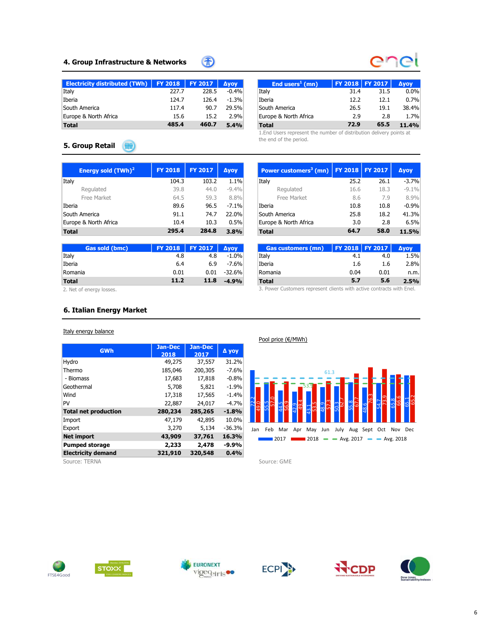## 4. Group Infrastructure & Networks



哥

| Electricity distributed (TWh)   FY 2018   FY 2017 |       |       | <b>Avov</b> | End users <sup>1</sup> (mn) | <b>FY 2018 FY 2017</b> |      | <b>Avoy</b> |
|---------------------------------------------------|-------|-------|-------------|-----------------------------|------------------------|------|-------------|
| Italy                                             | 227.7 | 228.5 | $-0.4%$     | Italy                       | 31.4                   | 31.5 | $0.0\%$     |
| Iberia                                            | 124.7 | 126.4 | $-1.3%$     | Iberia                      | 12.2                   | 12.1 | 0.7%        |
| South America                                     | 117.4 | 90.7  | 29.5%       | South America               | 26.5                   | 19.1 | 38.4%       |
| Europe & North Africa                             | 15.6  | 15.2  | 2.9%        | Europe & North Africa       | 2.9                    | 2.8  | 1.7%        |
| <b>Total</b>                                      | 485.4 | 460.7 | 5.4%        | <b>Total</b>                | 72.9                   | 65.5 | 11.4%       |

1.End Users represent the number of distribution delivery points at the end of the period.

### 5. Group Retail Will

| Energy sold $(TWh)^2$ | <b>FY 2018</b> | <b>FY 2017</b> | Ауоу    | Power customers <sup>3</sup> (mn)   FY 2018   FY 2017 |      |      | <b>Ayoy</b> |
|-----------------------|----------------|----------------|---------|-------------------------------------------------------|------|------|-------------|
| Italy                 | 104.3          | 103.2          | 1.1%    | Italy                                                 | 25.2 | 26.1 | $-3.7%$     |
| Regulated             | 39.8           | 44.0           | $-9.4%$ | Regulated                                             | 16.6 | 18.3 | $-9.1%$     |
| Free Market           | 64.5           | 59.3           | 8.8%    | Free Market                                           | 8.6  | 7.9  | 8.9%        |
| Iberia                | 89.6           | 96.5           | $-7.1%$ | Iberia                                                | 10.8 | 10.8 | $-0.9%$     |
| South America         | 91.1           | 74.7           | 22.0%   | South America                                         | 25.8 | 18.2 | 41.3%       |
| Europe & North Africa | 10.4           | 10.3           | 0.5%    | Europe & North Africa                                 | 3.0  | 2.8  | 6.5%        |
| <b>Total</b>          | 295.4          | 284.8          | 3.8%    | <b>Total</b>                                          | 64.7 | 58.0 | 11.5%       |

| Gas sold (bmc) | <b>FY 2018</b> | <b>FY 2017</b> | <b>Avov</b> | <b>Gas customers (mn)</b> |      | <b>FY 2018 FY 2017  </b> | <b>Avov</b> |
|----------------|----------------|----------------|-------------|---------------------------|------|--------------------------|-------------|
| Italy          | 4.8            | 4.8            | $-1.0%$     | Italy                     | 4.1  | 4.0                      | $1.5\%$     |
| Iberia         | 6.4            | 6.9            | $-7.6%$     | Iberia                    | 1.6  | 1.6                      | 2.8%        |
| Romania        | 0.01           | 0.01           | $-32.6%$    | Romania                   | 0.04 | 0.01                     | n.m.        |
| <b>Total</b>   | 11.2           | 11.8           | $-4.9%$     | <b>Total</b>              | 5.7  | 5.6                      | 2.5%        |

2. Net of energy losses.

### 6. Italian Energy Market

### Italy energy balance

| <b>GWh</b>                  | Jan-Dec<br>2018 | <b>Jan-Dec</b><br>2017 | Д уоу    |
|-----------------------------|-----------------|------------------------|----------|
| Hydro                       | 49,275          | 37,557                 | 31.2%    |
| Thermo                      | 185,046         | 200,305                | $-7.6%$  |
| - Biomass                   | 17,683          | 17,818                 | $-0.8%$  |
| Geothermal                  | 5,708           | 5,821                  | $-1.9%$  |
| Wind                        | 17,318          | 17,565                 | $-1.4%$  |
| PV                          | 22,887          | 24,017                 | $-4.7%$  |
| <b>Total net production</b> | 280,234         | 285,265                | $-1.8%$  |
| Import                      | 47,179          | 42,895                 | 10.0%    |
| Export                      | 3,270           | 5,134                  | $-36.3%$ |
| <b>Net import</b>           | 43,909          | 37,761                 | 16.3%    |
| <b>Pumped storage</b>       | 2,233           | 2,478                  | $-9.9%$  |
| <b>Electricity demand</b>   | 321,910         | 320,548                | 0.4%     |

Source: TERNA Source: GME

| Power customers <sup>3</sup> (mn) | <b>FY 2018</b> | <b>FY 2017</b> | <b>Дуоу</b> |
|-----------------------------------|----------------|----------------|-------------|
| Italy                             | 25.2           | 26.1           | $-3.7%$     |
| Regulated                         | 16.6           | 18.3           | $-9.1%$     |
| Free Market                       | 8.6            | 7.9            | 8.9%        |
| Iberia                            | 10.8           | 10.8           | $-0.9%$     |
| South America                     | 25.8           | 18.2           | 41.3%       |
| Europe & North Africa             | 3.0            | 2.8            | 6.5%        |
| <b>Total</b>                      | 64.7           | 58.0           | 11.5%       |
|                                   |                |                |             |

| <b>Gas customers (mn)</b> | <b>FY 2018 FY 2017</b> |      | Δγογ |
|---------------------------|------------------------|------|------|
| Italy                     | 4.1                    | 4.0  | 1.5% |
| Iberia                    | 1.6                    | 1.6  | 2.8% |
| Romania                   | 0.04                   | 0.01 | n.m. |
| <b>Total</b>              | 5.7                    | 5.6  | 2.5% |

3. Power Customers represent clients with active contracts with Enel.

72.2 55.5 44.5 42.9 43.1 48.9 50.3 55.8 48.654.7 65.8 65.1 49.057.0 56.9 49.4 53.5 57.3 62.7 67.7 76.3 73.9 66.6 65.2 53.9 61.3 Total 64.7 58.0 11.5%<br>
Cas customers (mn)  $\begin{bmatrix} \n\text{P1 2013} & \n\text{P1 2017} & \n\text{Avoy} \\ \n\text{Heri} \\ \n\text{Deri} \\ \n\text{Romain} \\ \n\text{Total} \\ \n\end{bmatrix}$ .  $\begin{bmatrix} \n\text{P1 2015} & \n\text{P1 2017} & \n\text{Avoy} \\ \n\text{1.5} & 1.6 & 1.89\% \\ \n\text{1.6} & 1.6 & 1.89\%$ **2017 2018**  $\rightarrow$  Avg. 2017  $\rightarrow$  Avg. 2018

Pool price (€/MWh)